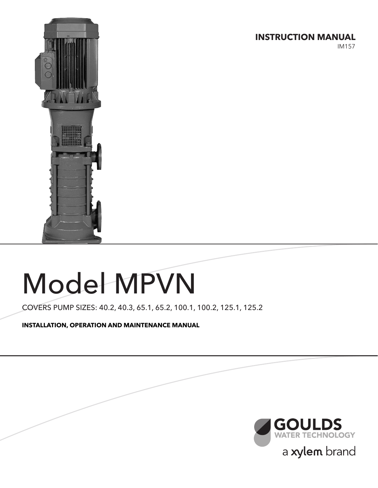**INSTRUCTION MANUAL**

IM157



# Model MPVN

COVERS PUMP SIZES: 40.2, 40.3, 65.1, 65.2, 100.1, 100.2, 125.1, 125.2

**INSTALLATION, OPERATION AND MAINTENANCE MANUAL**

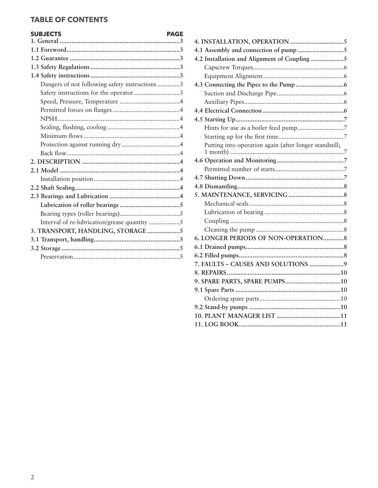# **TABLE OF CONTENTS**

# **SUBJECTS PAGE**

| Dangers of not following safety instructions 3 |
|------------------------------------------------|
| Safety instructions for the operator3          |
|                                                |
|                                                |
|                                                |
|                                                |
|                                                |
|                                                |
|                                                |
|                                                |
|                                                |
|                                                |
|                                                |
|                                                |
|                                                |
|                                                |
| Interval of re-lubrication/grease quantity 5   |
| 3. TRANSPORT, HANDLING, STORAGE5               |
|                                                |
|                                                |
|                                                |

| 4.2 Installation and Alignment of Coupling 5           |  |
|--------------------------------------------------------|--|
|                                                        |  |
|                                                        |  |
|                                                        |  |
|                                                        |  |
|                                                        |  |
|                                                        |  |
|                                                        |  |
|                                                        |  |
|                                                        |  |
| Putting into operation again (after longer standstill; |  |
|                                                        |  |
|                                                        |  |
|                                                        |  |
|                                                        |  |
|                                                        |  |
|                                                        |  |
|                                                        |  |
|                                                        |  |
|                                                        |  |
| 6. LONGER PERIODS OF NON-OPERATION 8                   |  |
|                                                        |  |
|                                                        |  |
| 7. FAULTS - CAUSES AND SOLUTIONS 9                     |  |
|                                                        |  |
|                                                        |  |
|                                                        |  |
|                                                        |  |
|                                                        |  |
|                                                        |  |
|                                                        |  |
|                                                        |  |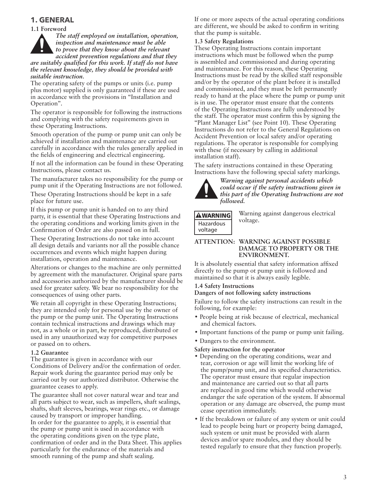# **1. GENERAL**

#### **1.1 Foreword**

*The staff employed on installation, operation, inspection and maintenance must be able to prove that they know about the relevant accident prevention regulations and that they are suitably qualified for this work. If staff do not have the relevant knowledge, they should be provided with suitable instruction.*

The operating safety of the pumps or units (i.e. pump plus motor) supplied is only guaranteed if these are used in accordance with the provisions in "Installation and Operation".

The operator is responsible for following the instructions and complying with the safety requirements given in these Operating Instructions.

Smooth operation of the pump or pump unit can only be achieved if installation and maintenance are carried out carefully in accordance with the rules generally applied in the fields of engineering and electrical engineering.

If not all the information can be found in these Operating Instructions, please contact us.

The manufacturer takes no responsibility for the pump or pump unit if the Operating Instructions are not followed.

These Operating Instructions should be kept in a safe place for future use.

If this pump or pump unit is handed on to any third party, it is essential that these Operating Instructions and the operating conditions and working limits given in the Confirmation of Order are also passed on in full.

These Operating Instructions do not take into account all design details and variants nor all the possible chance occurrences and events which might happen during installation, operation and maintenance.

Alterations or changes to the machine are only permitted by agreement with the manufacturer. Original spare parts and accessories authorized by the manufacturer should be used for greater safety. We bear no responsibility for the consequences of using other parts.

We retain all copyright in these Operating Instructions; they are intended only for personal use by the owner of the pump or the pump unit. The Operating Instructions contain technical instructions and drawings which may not, as a whole or in part, be reproduced, distributed or used in any unauthorized way for competitive purposes or passed on to others.

#### **1.2 Guarantee**

The guarantee is given in accordance with our Conditions of Delivery and/or the confirmation of order. Repair work during the guarantee period may only be carried out by our authorized distributor. Otherwise the guarantee ceases to apply.

The guarantee shall not cover natural wear and tear and all parts subject to wear, such as impellers, shaft sealings, shafts, shaft sleeves, bearings, wear rings etc., or damage caused by transport or improper handling. In order for the guarantee to apply, it is essential that the pump or pump unit is used in accordance with the operating conditions given on the type plate, confirmation of order and in the Data Sheet. This applies particularly for the endurance of the materials and smooth running of the pump and shaft sealing.

If one or more aspects of the actual operating conditions are different, we should be asked to confirm in writing that the pump is suitable.

#### **1.3 Safety Regulations**

These Operating Instructions contain important instructions which must be followed when the pump is assembled and commissioned and during operating and maintenance. For this reason, these Operating Instructions must be read by the skilled staff responsible and/or by the operator of the plant before it is installed and commissioned, and they must be left permanently ready to hand at the place where the pump or pump unit is in use. The operator must ensure that the contents of the Operating Instructions are fully understood by the staff. The operator must confirm this by signing the "Plant Manager List" (see Point 10). These Operating Instructions do not refer to the General Regulations on Accident Prevention or local safety and/or operating regulations. The operator is responsible for complying with these (if necessary by calling in additional installation staff).

The safety instructions contained in these Operating Instructions have the following special safety markings.



*Warning against personal accidents which could occur if the safety instructions given in this part of the Operating Instructions are not followed.*

#### **AWARNING** Hazardous voltage

Warning against dangerous electrical voltage.

#### **ATTENTION: WARNING AGAINST POSSIBLE DAMAGE TO PROPERTY OR THE ENVIRONMENT.**

It is absolutely essential that safety information affixed directly to the pump ot pump unit is followed and maintained so that it is always easily legible.

#### **1.4 Safety Instructions Dangers of not following safety instructions**

Failure to follow the safety instructions can result in the following, for example:

- People being at risk because of electrical, mechanical and chemical factors.
- Important functions of the pump or pump unit failing.
- Dangers to the environment.

#### **Safety instruction for the operator**

- Depending on the operating conditions, wear and tear, corrosion or age will limit the working life of the pump/pump unit, and its specified characteristics. The operator must ensure that regular inspection and maintenance are carried out so that all parts are replaced in good time which would otherwise endanger the safe operation of the system. If abnormal operation or any damage are observed, the pump must cease operation immediately.
- If the breakdown or failure of any system or unit could lead to people being hurt or property being damaged, such system or unit must be provided with alarm devices and/or spare modules, and they should be tested regularly to ensure that they function properly.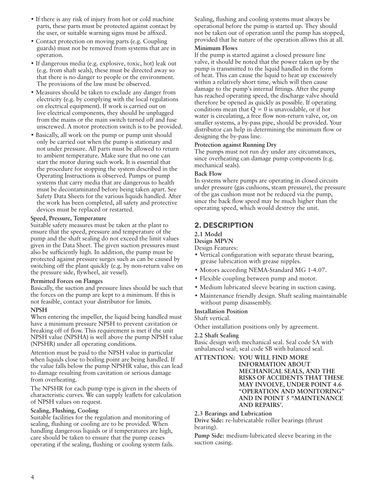- If there is any risk of injury from hot or cold machine parts, these parts must be protected against contact by the user, or suitable warning signs must be affixed.
- Contact protection on moving parts (e.g. Coupling guards) must not be removed from systems that are in operation.
- If dangerous media (e.g. explosive, toxic, hot) leak out (e.g. from shaft seals), these must be directed away so that there is no danger to people or the environment. The provisions of the law must be observed.
- Measures should be taken to exclude any danger from electricity (e.g. by complying with the local regulations on electrical equipment). If work is carried out on live electrical components, they should be unplugged from the mains or the main switch turned off and fuse unscrewed. A motor protection switch is to be provided.
- Basically, all work on the pump or pump unit should only be carried out when the pump is stationary and not under pressure. All parts must be allowed to return to ambient temperature. Make sure that no one can start the motor during such work. It is essential that the procedure for stopping the system described in the Operating Instructions is observed. Pumps or pump systems that carry media that are dangerous to health must be decontaminated before being taken apart. See Safety Data Sheets for the various liquids handled. After the work has been completed, all safety and protective devices must be replaced or restarted.

#### **Speed, Pressure, Temperature**

Suitable safety measures must be taken at the plant to ensure that the speed, pressure and temperature of the pump and the shaft sealing do not exceed the limit values given in the Data Sheet. The given suction pressures must also be sufficiently high. In addition, the pump must be protected against pressure surges such as can be caused by switching off the plant quickly (e.g. by non-return valve on the pressure side, flywheel, air vessel).

#### **Permitted Forces on Flanges**

Basically, the suction and pressure lines should be such that the forces on the pump are kept to a minimum. If this is not feasible, contact your distributor for limits.

#### **NPSH**

When entering the impeller, the liquid being handled must have a minimum pressure NPSH to prevent cavitation or breaking off of flow. This requirement is met if the unit NPSH value (NPSHA) is well above the pump NPSH value (NPSHR) under all operating conditions.

Attention must be paid to the NPSH value in particular when liquids close to boiling point are being handled. If the value falls below the pump NPSHR value, this can lead to damage resulting from cavitation or serious damage from overheating.

The NPSHR for each pump type is given in the sheets of characteristic curves. We can supply leaflets for calculation of NPSH values on request.

#### **Sealing, Flushing, Cooling**

Suitable facilities for the regulation and monitoring of sealing, flushing or cooling are to be provided. When handling dangerous liquids or if temperatures are high, care should be taken to ensure that the pump ceases operating if the sealing, flushing or cooling system fails. Sealing, flushing and cooling systems must always be operational before the pump is started up. They should not be taken out of operation until the pump has stopped, provided that he nature of the operation allows this at all.

#### **Minimum Flows**

If the pump is started against a closed pressure line valve, it should be noted that the power taken up by the pump is transmitted to the liquid handled in the form of heat. This can cause the liquid to heat up excessively within a relatively short time, which will then cause damage to the pump's internal fittings. After the pump has reached operating speed, the discharge valve should therefore be opened as quickly as possible. If operating conditions mean that  $Q = 0$  is unavoidable, or if hot water is circulating, a free flow non-return valve, or, on smaller systems, a by-pass pipe, should be provided. Your distributor can help in determining the minimum flow or designing the by-pass line.

#### **Protection against Running Dry**

The pumps must not run dry under any circumstances, since overheating can damage pump components (e.g. mechanical seals).

#### **Back Flow**

In systems where pumps are operating in closed circuits under pressure (gas cushions, steam pressure), the pressure of the gas cushion must not be reduced via the pump, since the back flow speed may be much higher than the operating speed, which would destroy the unit.

## **2. DESCRIPTION**

#### **2.1 Model**

**Design MPVN**

Design Features:

- Vertical configuration with separate thrust bearing, grease lubrication with grease nipples.
- Motors according NEMA-Standard MG 1-4.07.
- Flexible coupling between pump and motor.
- Medium lubricated sleeve bearing in suction casing.
- Maintenance friendly design. Shaft sealing maintainable without pump disassembly.

#### **Installation Position**

Shaft vertical.

Other installation positions only by agreement.

#### **2.2 Shaft Sealing**

Basic design with mechanical seal. Seal code SA with unbalanced seal; seal code SB with balanced seal.

**ATTENTION: YOU WILL FIND MORE INFORMATION ABOUT MECHANICAL SEALS, AND THE RISKS OF ACCIDENTS THAT THESE MAY INVOLVE, UNDER POINT 4.6 "OPERATION AND MONITORING" AND IN POINT 5 "MAINTENANCE AND REPAIRS'.**

**2.3 Bearings and Lubrication**

**Drive Side:** re-lubricatable roller bearings (thrust bearing).

**Pump Side:** medium-lubricated sleeve bearing in the suction casing.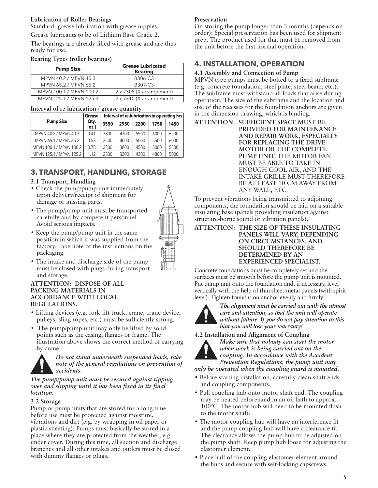## **Lubrication of Roller Bearings**

Standard: grease lubrication with grease nipples.

Grease lubricants to be of Lithium Base Grade 2.

The bearings are already filled with grease and are thus ready for use.

#### **Bearing Types (roller bearings)**

| <b>Pump Size</b>        | <b>Grease Lubricated</b><br><b>Bearing</b> |
|-------------------------|--------------------------------------------|
| MPVN 40.2 / MPVN 40.3   | B306-C3                                    |
| MPVN 65.2 / MPVN 65.2   | B307-C3                                    |
| MPVN 100.1 / MPVN 100.2 | 2 x 7308 (X-arrangement)                   |
| MPVN 125.1 / MPVN 125.2 | 2 x 7310 (X-arrangement)                   |

#### **Interval of re-lubrication / grease quantity**

|  |                         | Grease        |      |      |      |      | Interval of re-lubrication in operating hrs |
|--|-------------------------|---------------|------|------|------|------|---------------------------------------------|
|  | <b>Pump Size</b>        | Qty.<br>[oz.] | 3550 | 2950 | 2200 | 1750 | 1450                                        |
|  | MPVN 40.2 / MPVN 40.3   | 0.41          | 3800 | 4300 | 5500 | 6000 | 6500                                        |
|  | MPVN 65.1 / MPVN 65.2   | 0.53          | 3500 | 4000 | 5000 | 5500 | 6000                                        |
|  | MPVN 100.1 / MPVN 100.2 | 0.78          | 3300 | 3800 | 4500 | 5000 | 5500                                        |
|  | MPVN 125.1 / MPVN 125.2 | 1.12          | 2500 | 3300 | 4300 | 4800 | 5000                                        |

# **3. TRANSPORT, HANDLING, STORAGE**

## **3.1 Transport, Handling**

- Check the pump/pump unit immediately upon delivery/receipt of shipment for damage or missing parts.
- The pump/pump unit must be transported carefully and by competent personnel. Avoid serious impacts.
- 
- Keep the pump/pump unit in the same position in which it was supplied from the factory. Take note of the instructions on the packaging.
- The intake and discharge side of the pump must be closed with plugs during transport and storage.

#### **ATTENTION: DISPOSE OF ALL PACKING MATERIALS IN ACCORDANCE WITH LOCAL REGULATIONS.**

- Lifting devices (e.g. fork-lift truck, crane, crane device, pulleys, sling ropes, etc.) must be sufficiently strong.
- The pump/pump unit may only be lifted by solid points such as the casing, flanges or frame. The illustration above shows the correct method of carrying by crane.



*Do not stand underneath suspended loads; take note of the general regulations on prevention of accidents.*

*The pump/pump unit must be secured against tipping over and slipping until it has been fixed in its final location.*

#### **3.2 Storage**

Pump or pump units that are stored for a long time before use must be protected against moisture, vibrations and dirt (e.g. by wrapping in oil paper or plastic sheeting). Pumps must basically be stored in a place where they are protected from the weather, e.g. under cover. During this time, all suction and discharge branches and all other intakes and outlets must be closed with dummy flanges or plugs.

## **Preservation**

On storing the pump longer than 3 months (depends on order): Special preservation has been used for shipment prep. The product used for that must be removed from the unit before the first normal operation.

# **4. INSTALLATION, OPERATION**

# **4.1 Assembly and Connection of Pump**

MPVN type pumps must be bolted to a fixed subframe (e.g. concrete foundation, steel plate, steel beam, etc.). The subframe must withstand all loads that arise during operation. The size of the subframe and the location and size of the recesses for the foundation anchors are given in the dimension drawing, which is binding.

**ATTENTION: SUFFICIENT SPACE MUST BE PROVIDED FOR MAINTENANCE AND REPAIR WORK, ESPECIALLY FOR REPLACING THE DRIVE MOTOR OR THE COMPLETE PUMP UNIT.** THE MOTOR FAN MUST BE ABLE TO TAKE IN ENOUGH COOL AIR, AND THE INTAKE GRILLE MUST THEREFORE BE AT LEAST 10 CM AWAY FROM ANY WALL, ETC.

To prevent vibrations being transmitted to adjoining components, the foundation should be laid on a suitable insulating base (panels providing insulation against structure-borne sound or vibration panels).

#### **ATTENTION: THE SIZE OF THESE INSULATING PANELS WILL VARY, DEPENDING ON CIRCUMSTANCES, AND SHOULD THEREFORE BE DETERMINED BY AN EXPERIENCED SPECIALIST.**

Concrete foundations must be completely set and the surfaces must be smooth before the pump unit is mounted. Put pump unit onto the foundation and, if necessary, level vertically with the help of thin sheet-metal panels (with spirit level). Tighten foundation anchor evenly and firmly.



*The alignment must be carried out with the utmost care and attention, so that the unit will operate without failure. If you do not pay attention to this hint you will lose your warranty!*

**4.2 Installation and Alignment of Coupling**



*Make sure that nobody can start the motor when work is being carried out on the coupling. In accordance with the Accident Prevention Regulations, the pump unit may only be operated when the coupling guard is mounted.*

- Before starting installation, carefully clean shaft ends and coupling components.
- Pull coupling hub onto motor shaft end. The coupling may be heated beforehand in an oil bath to approx. 100°C. The motor hub will need to be mounted flush to the motor shaft.
- The motor coupling hub will have an interference fit and the pump coupling hub will have a clearance fit. The clearance allows the pump hub to be adjusted on the pump shaft. Keep pump hub loose for adjusting the elastomer element.
- Place half of the coupling elastomer element around the hubs and secure with self-locking capscrews.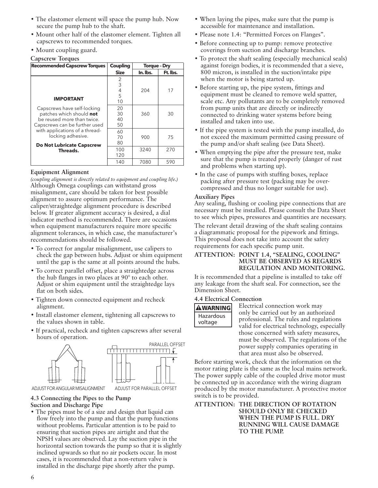- The elastomer element will space the pump hub. Now secure the pump hub to the shaft.
- Mount other half of the elastomer element. Tighten all capscrews to recommended torques.
- Mount coupling guard.

#### **Capscrew Torques**

| <b>Recommended Capscrew Torques</b>                                                                                    | Coupling               | <b>Torque - Dry</b> |          |
|------------------------------------------------------------------------------------------------------------------------|------------------------|---------------------|----------|
|                                                                                                                        | <b>Size</b>            | In. Ibs.            | Ft. lbs. |
| <b>IMPORTANT</b>                                                                                                       | 2<br>3<br>4<br>5<br>10 | 204                 | 17       |
| Capscrews have self-locking<br>patches which should not<br>be reused more than twice.<br>Capscrews can be further used | 20<br>30<br>40<br>50   | 360                 | 30       |
| with applications of a thread-<br>locking adhesive.<br><b>Do Not Lubricate Capscrew</b>                                | 60<br>70<br>80         | 900                 | 75       |
| Threads.                                                                                                               | 100<br>120             | 3240                | 270      |
|                                                                                                                        | 140                    | 7080                | 590      |

#### **Equipment Alignment**

*(coupling alignment is directly related to equipment and coupling life.)* Although Omega couplings can withstand gross misalignment, care should be taken for best possible alignment to assure optimum performance. The caliper/straightedge alignment procedure is described below. If greater alignment accuracy is desired, a dial indicator method is recommended. There are occasions when equipment manufacturers require more specific alignment tolerances, in which case, the manufacturer's recommendations should be followed.

- To correct for angular misalignment, use calipers to check the gap between hubs. Adjust or shim equipment until the gap is the same at all points around the hubs.
- To correct parallel offset, place a straightedge across the hub flanges in two places at 90° to each other. Adjust or shim equipment until the straightedge lays flat on both sides.
- Tighten down connected equipment and recheck alignment.
- Install elastomer element, tightening all capscrews to the values shown in table.
- If practical, recheck and tighten capscrews after several hours of operation.



ADJUST FOR ANGULAR MISALIGNMENT ADJUST FOR PARALLEL OFFSET

#### **4.3 Connecting the Pipes to the Pump Suction and Discharge Pipe**

• The pipes must be of a size and design that liquid can flow freely into the pump and that the pump functions without problems. Particular attention is to be paid to ensuring that suction pipes are airtight and that the NPSH values are observed. Lay the suction pipe in the horizontal section towards the pump so that it is slightly inclined upwards so that no air pockets occur. In most cases, it is recommended that a non-return valve is installed in the discharge pipe shortly after the pump.

- When laying the pipes, make sure that the pump is accessible for maintenance and installation.
- Please note 1.4: "Permitted Forces on Flanges".
- Before connecting up to pump: remove protective coverings from suction and discharge branches.
- To protect the shaft sealing (especially mechanical seals) against foreign bodies, it is recommended that a sieve, 800 micron, is installed in the suction/intake pipe when the motor is being started up.
- Before starting up, the pipe system, fittings and equipment must be cleaned to remove weld spatter, scale etc. Any pollutants are to be completely removed from pump units that are directly or indirectly connected to drinking water systems before being installed and taken into use.
- If the pipe system is tested with the pump installed, do not exceed the maximum permitted casing pressure of the pump and/or shaft sealing (see Data Sheet).
- When emptying the pipe after the pressure test, make sure that the pump is treated properly (danger of rust and problems when starting up).
- In the case of pumps with stuffing boxes, replace packing after pressure test (packing may be overcompressed and thus no longer suitable for use).

#### **Auxiliary Pipes**

Any sealing, flushing or cooling pipe connections that are necessary must be installed. Please consult the Data Sheet to see which pipes, pressures and quantities are necessary.

The relevant detail drawing of the shaft sealing contains a diagrammatic proposal for the pipework and fittings. This proposal does not take into account the safety requirements for each specific pump unit.

#### **ATTENTION: POINT 1.4, "SEALING, COOLING" MUST BE OBSERVED AS REGARDS REGULATION AND MONITORING.**

It is recommended that a pipeline is installed to take off any leakage from the shaft seal. For connection, see the Dimension Sheet.

#### **4.4 Electrical Connection**



Electrical connection work may only be carried out by an authorized professional. The rules and regulations valid for electrical technology, especially those concerned with safety measures, must be observed. The regulations of the power supply companies operating in that area must also be observed.

Before starting work, check that the information on the motor rating plate is the same as the local mains network. The power supply cable of the coupled drive motor must be connected up in accordance with the wiring diagram produced by the motor manufacturer. A protective motor switch is to be provided.

#### **ATTENTION: THE DIRECTION OF ROTATION SHOULD ONLY BE CHECKED WHEN THE PUMP IS FULL. DRY RUNNING WILL CAUSE DAMAGE TO THE PUMP.**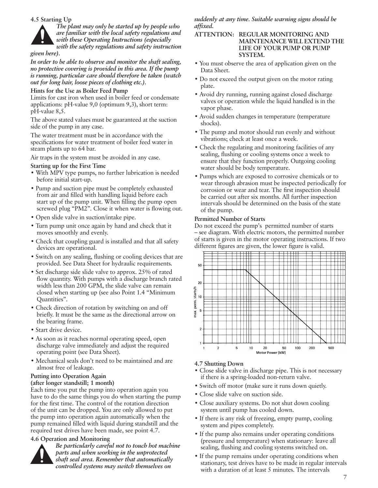#### **4.5 Starting Up**



#### *given here).*

*In order to be able to observe and monitor the shaft sealing, no protective covering is provided in this area. If the pump is running, particular care should therefore be taken (watch out for long hair, loose pieces of clothing etc.).*

#### **Hints for the Use as Boiler Feed Pump**

Limits for cast iron when used in boiler feed or condensate applications: pH-value 9,0 (optimum 9,3), short term: pH-value 8,5.

The above stated values must be guaranteed at the suction side of the pump in any case.

The water treatment must be in accordance with the specifications for water treatment of boiler feed water in steam plants up to 64 bar.

Air traps in the system must be avoided in any case.

#### **Starting up for the First Time**

- With MPV type pumps, no further lubrication is needed before initial start-up.
- Pump and suction pipe must be completely exhausted from air and filled with handling liquid before each start up of the pump unit. When filling the pump open screwed plug "PM2". Close it when water is flowing out.
- Open slide valve in suction/intake pipe.
- Turn pump unit once again by hand and check that it moves smoothly and evenly.
- Check that coupling guard is installed and that all safety devices are operational.
- Switch on any sealing, flushing or cooling devices that are provided. See Data Sheet for hydraulic requirements.
- Set discharge side slide valve to approx. 25% of rated flow quantity. With pumps with a discharge branch rated width less than 200 GPM, the slide valve can remain closed when starting up (see also Point 1.4 "Minimum Quantities".
- Check direction of rotation by switching on and off briefly. It must be the same as the directional arrow on the bearing frame.
- Start drive device.
- As soon as it reaches normal operating speed, open discharge valve immediately and adjust the required operating point (see Data Sheet).
- Mechanical seals don't need to be maintained and are almost free of leakage.

# **Putting into Operation Again**

**(after longer standstill; 1 month)**

Each time you put the pump into operation again you have to do the same things you do when starting the pump for the first time. The control of the rotation direction of the unit can be dropped. You are only allowed to put the pump into operation again automatically when the pump remained filled with liquid during standstill and the required test drives have been made, see point 4.7.

#### **4.6 Operation and Monitoring**



*Be particularly careful not to touch hot machine parts and when working in the unprotected shaft seal area. Remember that automatically controlled systems may switch themselves on* 

*suddenly at any time. Suitable warning signs should be affixed.*

#### **ATTENTION: REGULAR MONITORING AND MAINTENANCE WILL EXTEND THE LIFE OF YOUR PUMP OR PUMP SYSTEM.**

- You must observe the area of application given on the Data Sheet.
- Do not exceed the output given on the motor rating plate.
- Avoid dry running, running against closed discharge valves or operation while the liquid handled is in the vapor phase.
- Avoid sudden changes in temperature (temperature shocks).
- The pump and motor should run evenly and without vibrations; check at least once a week.
- Check the regulating and monitoring facilities of any sealing, flushing or cooling systems once a week to ensure that they function properly. Outgoing cooling water should be body temperature.
- Pumps which are exposed to corrosive chemicals or to wear through abrasion must be inspected periodically for corrosion or wear and tear. The first inspection should be carried out after six months. All further inspection intervals should be determined on the basis of the state of the pump.

#### **Permitted Number of Starts**

Do not exceed the pump's permitted number of starts – see diagram. With electric motors, the permitted number of starts is given in the motor operating instructions. If two different figures are given, the lower figure is valid.



#### **4.7 Shutting Down**

- Close slide valve in discharge pipe. This is not necessary if there is a spring-loaded non-return valve.
- Switch off motor (make sure it runs down quietly.
- Close slide valve on suction side.
- Close auxiliary systems. Do not shut down cooling system until pump has cooled down.
- If there is any risk of freezing, empty pump, cooling system and pipes completely.
- If the pump also remains under operating conditions (pressure and temperature) when stationary: leave all sealing, flushing and cooling systems switched on.
- If the pump remains under operating conditions when stationary, test drives have to be made in regular intervals with a duration of at least 5 minutes. The intervals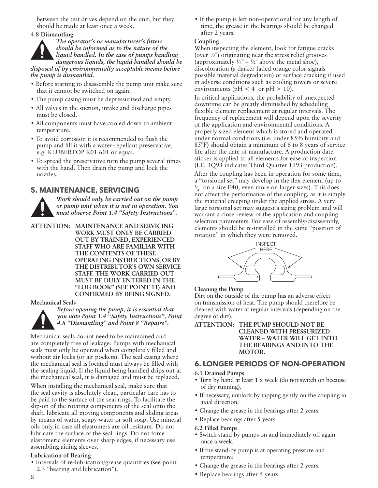between the test drives depend on the unit, but they should be made at least once a week.

**4.8 Dismantling**



- Before starting to disassemble the pump unit make sure that it cannot be switched on again.
- The pump casing must be depressurized and empty.
- All valves in the suction, intake and discharge pipes must be closed.
- All components must have cooled down to ambient temperature.
- To avoid corrosion it is recommended to flush the pump and fill it with a water-repellant preservative, e.g. KLÜBERTOP K01.601 or equal.
- To spread the preservative turn the pump several times with the hand. Then drain the pump and lock the nozzles.

## **5. MAINTENANCE, SERVICING**

*Work should only be carried out on the pump or pump unit when it is not in operation. You must observe Point 1.4 "Safety Instructions".*

**ATTENTION: MAINTENANCE AND SERVICING WORK MUST ONLY BE CARRIED OUT BY TRAINED, EXPERIENCED STAFF WHO ARE FAMILIAR WITH THE CONTENTS OF THESE OPERATING INSTRUCTIONS, OR BY THE DISTRIBUTOR'S OWN SERVICE STAFF. THE WORK CARRIED OUT MUST BE DULY ENTERED IN THE "LOG BOOK" (SEE POINT 11) AND CONFIRMED BY BEING SIGNED.**

#### **Mechanical Seals**



*Before opening the pump, it is essential that you note Point 1.4 "Safety Instructions", Point 4.8 "Dismantling" and Point 8 "Repairs".*

Mechanical seals do not need to be maintained and are completely free of leakage. Pumps with mechanical seals must only be operated when completely filled and without air locks (or air pockets). The seal casing where the mechanical seal is located must always be filled with the sealing liquid. If the liquid being handled drips out at the mechanical seal, it is damaged and must be replaced.

When installing the mechanical seal, make sure that the seal cavity is absolutely clean, particular care has to be paid to the surface of the seal rings. To facilitate the slip-on of the rotating components of the seal onto the shaft, lubricate all moving components and sliding areas by means of water, soapy water or soft soap. Use mineral oils only in case all elastomers are oil resistant. Do not lubricate the surface of the seal rings. Do not force elastomeric elements over sharp edges, if necessary use assembling aiding sleeves.

#### **Lubrication of Bearing**

• Intervals of re-lubrication/grease quantities (see point 2.3 "bearing and lubrication").

• If the pump is left non-operational for any length of time, the grease in the bearings should be changed after 2 years.

#### **Coupling**

When inspecting the element, look for fatigue cracks (over  $\frac{1}{2}$ ) originating near the stress relief grooves (approximately  $\frac{1}{4}$ " –  $\frac{1}{2}$ " above the metal shoe), discoloration (a darker faded orange color signals possible material degradation) or surface cracking if used in adverse conditions such as cooling towers or severe environments ( $pH < 4$  or  $pH > 10$ ).

In critical applications, the probability of unexpected downtime can be greatly diminished by scheduling flexible element replacement at regular intervals. The frequency of replacement will depend upon the severity of the application and environmental conditions. A properly sized element which is stored and operated under normal conditions (i.e. under 85% humidity and 85°F) should obtain a minimum of 6 to 8 years of service life after the date of manufacture. A production date sticker is applied to all elements for ease of inspection (I.E. 3Q93 indicates Third Quarter 1993 production).

After the coupling has been in operation for some time, a "torsional set" may develop in the flex element (up to  $\frac{1}{4}$ " on a size E40, even more on larger sizes). This does ⁄ not affect the performance of the coupling, as it is simply the material creeping under the applied stress. A very large torsional set may suggest a sizing problem and will warrant a close review of the application and coupling selection parameters. For ease of assembly/disassembly, elements should be re-installed in the same "position of rotation" in which they were removed.



#### **Cleaning the Pump**

Dirt on the outside of the pump has an adverse effect on transmission of heat. The pump should therefore be cleaned with water at regular intervals (depending on the degree of dirt).

#### **ATTENTION: THE PUMP SHOULD NOT BE CLEANED WITH PRESSURIZED WATER – WATER WILL GET INTO THE BEARINGS AND INTO THE MOTOR.**

## **6. LONGER PERIODS OF NON-OPERATION**

#### **6.1 Drained Pumps**

- Turn by hand at least 1 x week (do not switch on because of dry running).
- If necessary, unblock by tapping gently on the coupling in axial direction.
- Change the grease in the bearings after 2 years.
- Replace bearings after 5 years.

#### **6.2 Filled Pumps**

- Switch stand-by pumps on and immediately off again once a week.
- If the stand-by pump is at operating pressure and temperature:
- Change the grease in the bearings after 2 years.
- Replace bearings after 5 years.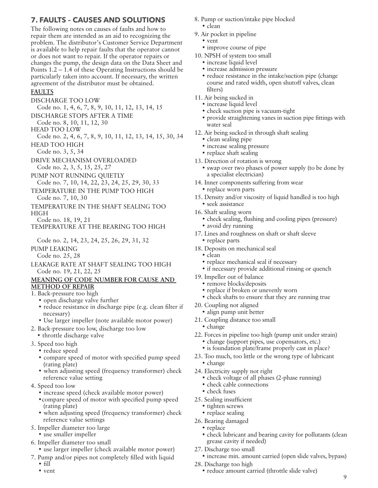# **7. FAULTS – CAUSES AND SOLUTIONS**

The following notes on causes of faults and how to repair them are intended as an aid to recognizing the problem. The distributor's Customer Service Department is available to help repair faults that the operator cannot or does not want to repair. If the operator repairs or changes the pump, the design data on the Data Sheet and Points 1.2 – 1.4 of these Operating Instructions should be particularly taken into account. If necessary, the written agreement of the distributor must be obtained.

## **FAULTS**

DISCHARGE TOO LOW

Code no. 1, 4, 6, 7, 8, 9, 10, 11, 12, 13, 14, 15

- DISCHARGE STOPS AFTER A TIME
- Code no. 8, 10, 11, 12, 30
- HEAD TOO LOW

Code no. 2, 4, 6, 7, 8, 9, 10, 11, 12, 13, 14, 15, 30, 34 HEAD TOO HIGH

- Code no. 3, 5, 34
- DRIVE MECHANISM OVERLOADED Code no. 2, 3, 5, 15, 25, 27
- PUMP NOT RUNNING QUIETLY
- Code no. 7, 10, 14, 22, 23, 24, 25, 29, 30, 33
- TEMPERATURE IN THE PUMP TOO HIGH Code no. 7, 10, 30
- TEMPERATURE IN THE SHAFT SEALING TOO HIGH
- Code no. 18, 19, 21
- TEMPERATURE AT THE BEARING TOO HIGH

Code no. 2, 14, 23, 24, 25, 26, 29, 31, 32

PUMP LEAKING

Code no. 25, 28 LEAKAGE RATE AT SHAFT SEALING TOO HIGH

Code no. 19, 21, 22, 25

#### **MEANING OF CODE NUMBER FOR CAUSE AND METHOD OF REPAIR**

- 1. Back-pressure too high
	- open discharge valve further
	- reduce resistance in discharge pipe (e.g. clean filter if necessary)
	- Use larger impeller (note available motor power)
- 2. Back-pressure too low, discharge too low • throttle discharge valve
- 3. Speed too high
	- reduce speed
	- compare speed of motor with specified pump speed (rating plate)
	- when adjusting speed (frequency transformer) check reference value setting
- 4. Speed too low
	- increase speed (check available motor power)
	- •compare speed of motor with specified pump speed (rating plate)
	- when adjusting speed (frequency transformer) check reference value settings
- 5. Impeller diameter too large
- use smaller impeller
- 6. Impeller diameter too small
	- use larger impeller (check available motor power)
- 7. Pump and/or pipes not completely filled with liquid
	- fill
	- vent
- 8. Pump or suction/intake pipe blocked • clean
- 9. Air pocket in pipeline
	- vent
	- improve course of pipe
- 10. NPSH of system too small
	- increase liquid level
	- increase admission pressure
	- reduce resistance in the intake/suction pipe (change) course and rated width, open shutoff valves, clean filters)
- 11. Air being sucked in
	- increase liquid level
	- check suction pipe is vacuum-tight
	- provide straightening vanes in suction pipe fittings with water seal
- 12. Air being sucked in through shaft sealing
	- clean sealing pipe
	- increase sealing pressure
	- replace shaft sealing
- 13. Direction of rotation is wrong
	- swap over two phases of power supply (to be done by a specialist electrician)
- 14. Inner components suffering from wear • replace worn parts
- 15. Density and/or viscosity of liquid handled is too high • seek assistance
- 16. Shaft sealing worn
	- check sealing, flushing and cooling pipes (pressure) • avoid dry running
- 17. Lines and roughness on shaft or shaft sleeve • replace parts
- 18. Deposits on mechanical seal
	- clean
	- replace mechanical seal if necessary
	- if necessary provide additional rinsing or quench
- 19. Impeller out of balance
	- remove blocks/deposits
	- replace if broken or unevenly worn
	- check shafts to ensure that they are running true
- 20. Coupling not aligned
	- align pump unit better
- 21. Coupling distance too small
	- change
- 22. Forces in pipeline too high (pump unit under strain) • change (support pipes, use copensators, etc.)
	- is foundation plate/frame properly cast in place?
- 23. Too much, too little or the wrong type of lubricant • change
- 24. Electricity supply not right
	- check voltage of all phases (2-phase running)
	- check cable connections
	- check fuses
- 25. Sealing insufficient
	- tighten screws
	- replace sealing
- 26. Bearing damaged
	- replace
	- check lubricant and bearing cavity for pollutants (clean grease cavity if needed)
- 27. Discharge too small
- increase min. amount carried (open slide valves, bypass)
- 28. Discharge too high
	- reduce amount carried (throttle slide valve)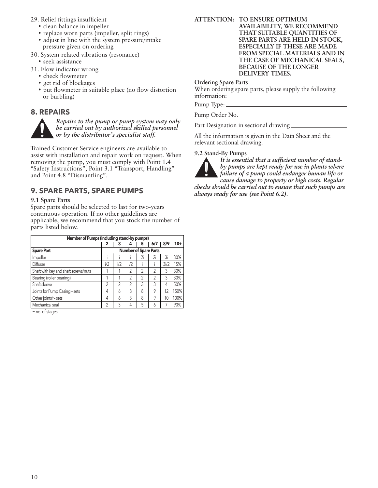- 29. Relief fittings insufficient
	- clean balance in impeller
	- replace worn parts (impeller, split rings)
	- adjust in line with the system pressure/intake pressure given on ordering
- 30. System-related vibrations (resonance)
	- seek assistance
- 31. Flow indicator wrong
	- check flowmeter
	- get rid of blockages
	- put flowmeter in suitable place (no flow distortion or burbling)

## **8. REPAIRS**



*Repairs to the pump or pump system may only be carried out by authorized skilled personnel or by the distributor's specialist staff.*

Trained Customer Service engineers are available to assist with installation and repair work on request. When removing the pump, you must comply with Point 1.4 "Safety Instructions", Point 3.1 "Transport, Handling" and Point 4.8 "Dismantling".

# **9. SPARE PARTS, SPARE PUMPS**

#### **9.1 Spare Parts**

Spare parts should be selected to last for two-years continuous operation. If no other guidelines are applicable, we recommend that you stock the number of parts listed below.

| <b>Number of Pumps (including stand-by pumps)</b> |                              |                |                |                |     |      |       |
|---------------------------------------------------|------------------------------|----------------|----------------|----------------|-----|------|-------|
|                                                   | 2                            | 3              |                | 5              | 6/7 | 8/9  | $10+$ |
| <b>Spare Part</b>                                 | <b>Number of Spare Parts</b> |                |                |                |     |      |       |
| Impeller                                          |                              |                |                | 2i             | 2i  | 3i   | 30%   |
| Diffuser                                          | i/2                          | i/2            | 1/2            |                |     | 3i/2 | 15%   |
| Shaft with key and shaft screws/nuts              |                              |                | 2              | 2              | 2   | 3    | 30%   |
| Bearing (roller bearing)                          |                              |                | 2              | $\overline{2}$ | 2   | 3    | 30%   |
| Shaft sleeve                                      | $\overline{2}$               | $\overline{2}$ | $\mathfrak{p}$ | 3              | 3   | 4    | 50%   |
| Joints for Pump Casing - sets                     | 4                            | 6              | 8              | 8              | 9   | 12   | 150%  |
| Other joints†-sets                                | 4                            | 6              | 8              | 8              | 9   | 10   | 100%  |
| Mechanical seal                                   | $\overline{2}$               | 3              | 4              | 5              | 6   |      | 90%   |

i = no. of stages

**ATTENTION: TO ENSURE OPTIMUM** 

**AVAILABILITY, WE RECOMMEND THAT SUITABLE QUANTITIES OF SPARE PARTS ARE HELD IN STOCK, ESPECIALLY IF THESE ARE MADE FROM SPECIAL MATERIALS AND IN THE CASE OF MECHANICAL SEALS, BECAUSE OF THE LONGER DELIVERY TIMES.**

#### **Ordering Spare Parts**

When ordering spare parts, please supply the following information:

Pump Type:

Pump Order No.

Part Designation in sectional drawing

All the information is given in the Data Sheet and the relevant sectional drawing.

#### **9.2 Stand-By Pumps**



*It is essential that a sufficient number of standby pumps are kept ready for use in plants where* 

*failure of a pump could endanger human life or* 

*cause damage to property or high costs. Regular checks should be carried out to ensure that such pumps are always ready for use (see Point 6.2).*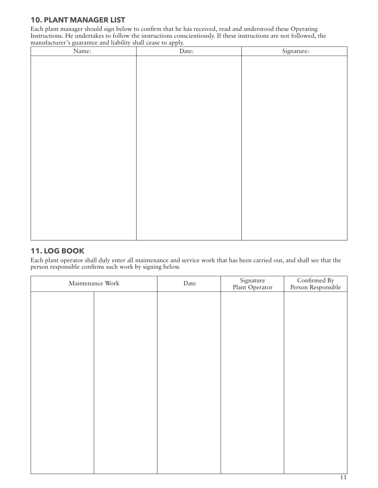# **10. PLANT MANAGER LIST**

Each plant manager should sign below to confirm that he has received, read and understood these Operating Instructions. He undertakes to follow the instructions conscientiously. If these instructions are not followed, the manufacturer's guarantee and liability shall cease to apply.

| Name: | Date: | Signature: |
|-------|-------|------------|
|       |       |            |
|       |       |            |
|       |       |            |
|       |       |            |
|       |       |            |
|       |       |            |
|       |       |            |
|       |       |            |
|       |       |            |
|       |       |            |
|       |       |            |
|       |       |            |
|       |       |            |
|       |       |            |
|       |       |            |
|       |       |            |
|       |       |            |
|       |       |            |
|       |       |            |
|       |       |            |
|       |       |            |

# **11. LOG BOOK**

Each plant operator shall duly enter all maintenance and service work that has been carried out, and shall see that the person responsible confirms such work by signing below.

| Maintenance Work |  | Date | Signature<br>Plant Operator | Confirmed By<br>Person Responsible |
|------------------|--|------|-----------------------------|------------------------------------|
|                  |  |      |                             |                                    |
|                  |  |      |                             |                                    |
|                  |  |      |                             |                                    |
|                  |  |      |                             |                                    |
|                  |  |      |                             |                                    |
|                  |  |      |                             |                                    |
|                  |  |      |                             |                                    |
|                  |  |      |                             |                                    |
|                  |  |      |                             |                                    |
|                  |  |      |                             |                                    |
|                  |  |      |                             |                                    |
|                  |  |      |                             |                                    |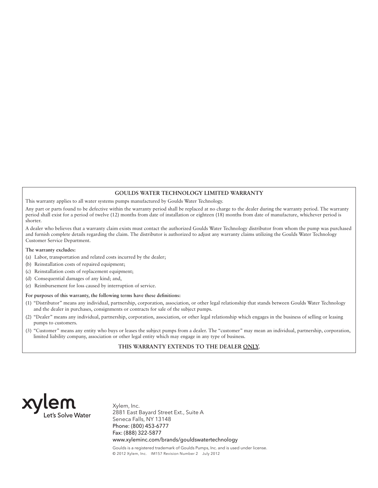#### **GOULDS WATER TECHNOLOGY LIMITED WARRANTY**

This warranty applies to all water systems pumps manufactured by Goulds Water Technology.

Any part or parts found to be defective within the warranty period shall be replaced at no charge to the dealer during the warranty period. The warranty period shall exist for a period of twelve (12) months from date of installation or eighteen (18) months from date of manufacture, whichever period is shorter.

A dealer who believes that a warranty claim exists must contact the authorized Goulds Water Technology distributor from whom the pump was purchased and furnish complete details regarding the claim. The distributor is authorized to adjust any warranty claims utilizing the Goulds Water Technology Customer Service Department.

#### **The warranty excludes:**

- (a) Labor, transportation and related costs incurred by the dealer;
- (b) Reinstallation costs of repaired equipment;
- (c) Reinstallation costs of replacement equipment;
- (d) Consequential damages of any kind; and,
- (e) Reimbursement for loss caused by interruption of service.

#### **For purposes of this warranty, the following terms have these definitions:**

- (1) "Distributor" means any individual, partnership, corporation, association, or other legal relationship that stands between Goulds Water Technology and the dealer in purchases, consignments or contracts for sale of the subject pumps.
- (2) "Dealer" means any individual, partnership, corporation, association, or other legal relationship which engages in the business of selling or leasing pumps to customers.
- (3) "Customer" means any entity who buys or leases the subject pumps from a dealer. The "customer" may mean an individual, partnership, corporation, limited liability company, association or other legal entity which may engage in any type of business.

#### **THIS WARRANTY EXTENDS TO THE DEALER ONLY.**



Xylem, Inc. 2881 East Bayard Street Ext., Suite A Seneca Falls, NY 13148 Phone: (800) 453-6777 Fax: (888) 322-5877 www.xyleminc.com/brands/gouldswatertechnology

Goulds is a registered trademark of Goulds Pumps, Inc. and is used under license. © 2012 Xylem, Inc. IM157 Revision Number 2 July 2012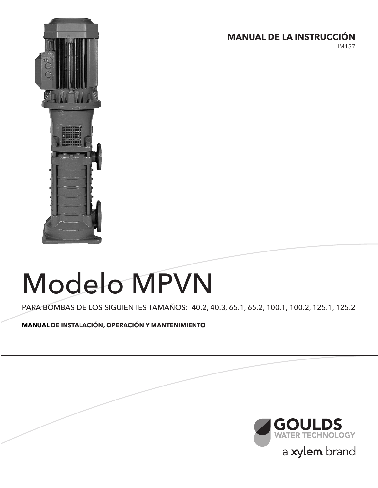

# **MANUAL DE LA INSTRUCCIÓN**

IM157

# Modelo MPVN

PARA BOMBAS DE LOS SIGUIENTES TAMAÑOS: 40.2, 40.3, 65.1, 65.2, 100.1, 100.2, 125.1, 125.2

**MANUAL DE INSTALACIÓN, OPERACIÓN Y MANTENIMIENTO**

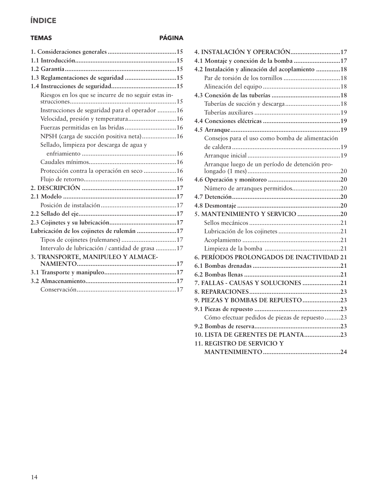# **ÍNDICE**

# **TEMAS PÁGINA**

| 1.3 Reglamentaciones de seguridad 15                 |
|------------------------------------------------------|
|                                                      |
| Riesgos en los que se incurre de no seguir estas in- |
| Instrucciones de seguridad para el operador 16       |
| Velocidad, presión y temperatura 16                  |
| Fuerzas permitidas en las bridas 16                  |
| NPSH (carga de succión positiva neta)16              |
| Sellado, limpieza por descarga de agua y             |
|                                                      |
|                                                      |
| Protección contra la operación en seco 16            |
|                                                      |
|                                                      |
|                                                      |
|                                                      |
|                                                      |
|                                                      |
| Lubricación de los cojinetes de rulemán 17           |
| Tipos de cojinetes (rulemanes)17                     |
| Intervalo de lubricación / cantidad de grasa 17      |
| 3. TRANSPORTE, MANIPULEO Y ALMACE-                   |
|                                                      |
|                                                      |
|                                                      |
|                                                      |
|                                                      |

| 4.1 Montaje y conexión de la bomba 17             |  |
|---------------------------------------------------|--|
| 4.2 Instalación y alineación del acoplamiento  18 |  |
|                                                   |  |
|                                                   |  |
|                                                   |  |
|                                                   |  |
|                                                   |  |
|                                                   |  |
|                                                   |  |
| Consejos para el uso como bomba de alimentación   |  |
|                                                   |  |
|                                                   |  |
| Arranque luego de un período de detención pro-    |  |
|                                                   |  |
| Número de arranques permitidos20                  |  |
|                                                   |  |
|                                                   |  |
| 5. MANTENIMIENTO Y SERVICIO 20                    |  |
|                                                   |  |
|                                                   |  |
|                                                   |  |
|                                                   |  |
| 6. PERÍODOS PROLONGADOS DE INACTIVIDAD 21         |  |
|                                                   |  |
|                                                   |  |
| 7. FALLAS - CAUSAS Y SOLUCIONES 21                |  |
|                                                   |  |
| 9. PIEZAS Y BOMBAS DE REPUESTO 23                 |  |
|                                                   |  |
| Cómo efectuar pedidos de piezas de repuesto 23    |  |
|                                                   |  |
| 10. LISTA DE GERENTES DE PLANTA23                 |  |
| 11. REGISTRO DE SERVICIO Y                        |  |
|                                                   |  |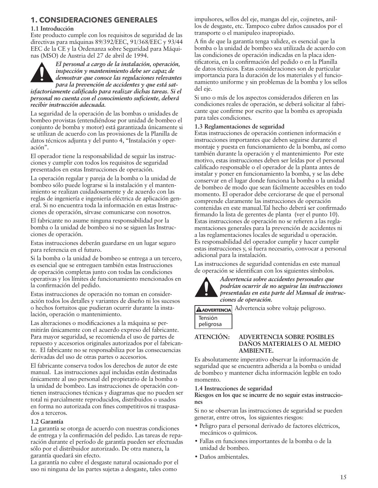# **1. CONSIDERACIONES GENERALES**

#### **1.1 Introducción**

Este producto cumple con los requisitos de seguridad de las directivas para máquinas 89/392/EEC, 91/368/EEC y 93/44 EEC de la CE y la Ordenanza sobre Seguridad para Máquinas (MSO) de Austria del 27 de abril de 1994.



*El personal a cargo de la instalación, operación, inspección y mantenimiento debe ser capaz de demostrar que conoce las regulaciones relevantes para la prevención de accidentes y que está sat-*

*isfactoriamente calificado para realizar dichas tareas. Si el personal no cuenta con el conocimiento suficiente, deberá recibir instrucción adecuada.*

La seguridad de la operación de las bombas o unidades de bombeo provistas (entendiéndose por unidad de bombeo el conjunto de bomba y motor) está garantizada únicamente si se utilizan de acuerdo con las provisiones de la Planilla de datos técnicos adjunta y del punto 4, "Instalación y operación".

El operador tiene la responsabilidad de seguir las instrucciones y cumplir con todos los requisitos de seguridad presentados en estas Instrucciones de operación.

La operación regular y pareja de la bomba o la unidad de bombeo sólo puede lograrse si la instalación y el mantenimiento se realizan cuidadosamente y de acuerdo con las reglas de ingeniería e ingeniería eléctrica de aplicación general. Si no encuentra toda la información en estas Instrucciones de operación, sírvase comunicarse con nosotros.

El fabricante no asume ninguna responsabilidad por la bomba o la unidad de bombeo si no se siguen las Instrucciones de operación.

Estas instrucciones deberán guardarse en un lugar seguro para referencia en el futuro.

Si la bomba o la unidad de bombeo se entrega a un tercero, es esencial que se entreguen también estas Instrucciones de operación completas junto con todas las condiciones operativas y los límites de funcionamiento mencionados en la confirmación del pedido.

Estas instrucciones de operación no toman en consideración todos los detalles y variantes de diseño ni los sucesos o hechos fortuitos que pudieran ocurrir durante la instalación, operación o mantenimiento.

Las alteraciones o modificaciones a la máquina se permitirán únicamente con el acuerdo expreso del fabricante. Para mayor seguridad, se recomienda el uso de partes de repuesto y accesorios originales autorizados por el fabricante. El fabricante no se responsabiliza por las consecuencias derivadas del uso de otras partes o accesorios.

El fabricante conserva todos los derechos de autor de este manual. Las instrucciones aquí incluidas están destinadas únicamente al uso personal del propietario de la bomba o la unidad de bombeo. Las instrucciones de operación contienen instrucciones técnicas y diagramas que no pueden ser total ni parcialmente reproducidos, distribuidos o usados en forma no autorizada con fines competitivos ni traspasados a terceros.

#### **1.2 Garantía**

La garantía se otorga de acuerdo con nuestras condiciones de entrega y la confirmación del pedido. Las tareas de reparación durante el período de garantía pueden ser efectuadas sólo por el distribuidor autorizado. De otra manera, la garantía quedará sin efecto.

La garantía no cubre el desgaste natural ocasionado por el uso ni ninguna de las partes sujetas a desgaste, tales como

impulsores, sellos del eje, mangas del eje, cojinetes, anillos de desgaste, etc. Tampoco cubre daños causados por el transporte o el manipuleo inapropiado.

A fin de que la garantía tenga validez, es esencial que la bomba o la unidad de bombeo sea utilizada de acuerdo con las condiciones de operación indicadas en la placa identificatoria, en la confirmación del pedido o en la Planilla de datos técnicos. Estas consideraciones son de particular importancia para la duración de los materiales y el funcionamiento uniforme y sin problemas de la bomba y los sellos del eje.

Si uno o más de los aspectos considerados difieren en las condiciones reales de operación, se deberá solicitar al fabricante que confirme por escrito que la bomba es apropiada para tales condiciones.

#### **1.3 Reglamentaciones de seguridad**

Estas instrucciones de operación contienen información e instrucciones importantes que deben seguirse durante el montaje y puesta en funcionamiento de la bomba, así como también durante la operación y el mantenimiento Por este motivo, estas instrucciones deben ser leídas por el personal calificado responsable o el operador de la planta antes de instalar y poner en funcionamiento la bomba, y se las debe conservar en el lugar donde funciona la bomba o la unidad de bombeo de modo que sean fácilmente accesibles en todo momento. El operador debe cerciorarse de que el personal comprende claramente las instrucciones de operación contenidas en este manual.Tal hecho deberá ser confirmado firmando la lista de gerentes de planta (ver el punto 10). Estas instrucciones de operación no se refieren a las reglamentaciones generales para la prevención de accidentes ni a las reglamentaciones locales de seguridad u operación. Es responsabilidad del operador cumplir y hacer cumplir estas instrucciones y, si fuera necesario, convocar a personal adicional para la instalación.

Las instrucciones de seguridad contenidas en este manual de operación se identifican con los siguientes símbolos.



*Advertencia sobre accidentes personales que podrían ocurrir de no seguirse las instrucciones presentadas en esta parte del Manual de instrucciones de operación.*

ADVERTENCIA Advertencia sobre voltaje peligroso. Tensión

peligrosa

**ATENCIÓN: ADVERTENCIA SOBRE POSIBLES DAÑOS MATERIALES O AL MEDIO AMBIENTE.**

Es absolutamente imperativo observar la información de seguridad que se encuentra adherida a la bomba o unidad de bombeo y mantener dicha información legible en todo momento.

#### **1.4 Instrucciones de seguridad**

**Riesgos en los que se incurre de no seguir estas instrucciones**

Si no se observan las instrucciones de seguridad se pueden generar, entre otros, los siguientes riesgos:

- Peligro para el personal derivado de factores eléctricos, mecánicos o químicos.
- Fallas en funciones importantes de la bomba o de la unidad de bombeo.
- Daños ambientales.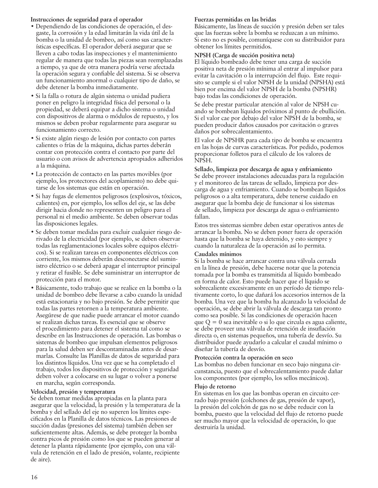#### **Instrucciones de seguridad para el operador**

- Dependiendo de las condiciones de operación, el desgaste, la corrosión y la edad limitarán la vida útil de la bomba o la unidad de bombeo, así como sus características específicas. El operador deberá asegurar que se lleven a cabo todas las inspecciones y el mantenimiento regular de manera que todas las piezas sean reemplazadas a tiempo, ya que de otra manera podría verse afectada la operación segura y confiable del sistema. Si se observa un funcionamiento anormal o cualquier tipo de daño, se debe detener la bomba inmediatamente.
- Si la falla o rotura de algún sistema o unidad pudiera poner en peligro la integridad física del personal o la propiedad, se deberá equipar a dicho sistema o unidad con dispositivos de alarma o módulos de repuesto, y los mismos se deben probar regularmente para asegurar su funcionamiento correcto.
- Si existe algún riesgo de lesión por contacto con partes calientes o frías de la máquina, dichas partes deberán contar con protección contra el contacto por parte del usuario o con avisos de advertencia apropiados adheridos a la máquina.
- La protección de contacto en las partes movibles (por ejemplo, los protectores del acoplamiento) no debe quitarse de los sistemas que están en operación.
- Si hay fugas de elementos peligrosos (explosivos, tóxicos, calientes) en, por ejemplo, los sellos del eje, se las debe dirigir hacia donde no representen un peligro para el personal ni el medio ambiente. Se deben observar todas las disposiciones legales.
- Se deben tomar medidas para excluir cualquier riesgo derivado de la electricidad (por ejemplo, se deben observar todas las reglamentaciones locales sobre equipos eléctricos). Si se realizan tareas en componentes eléctricos con corriente, los mismos deberán desconectarse del suministro eléctrico o se deberá apagar el interruptor principal y retirar el fusible. Se debe suministrar un interruptor de protección para el motor.
- Básicamente, todo trabajo que se realice en la bomba o la unidad de bombeo debe llevarse a cabo cuando la unidad está estacionaria y no bajo presión. Se debe permitir que todas las partes retornen a la temperatura ambiente. Asegúrese de que nadie puede arrancar el motor cuando se realizan dichas tareas. Es esencial que se observe el procedimiento para detener el sistema tal como se describe en las Instrucciones de operación. Las bombas o sistemas de bombeo que impulsan elementos peligrosos para la salud deben ser descontaminadas antes de desarmarlas. Consulte las Planillas de datos de seguridad para los distintos líquidos. Una vez que se ha completado el trabajo, todos los dispositivos de protección y seguridad deben volver a colocarse en su lugar o volver a ponerse en marcha, según corresponda.

#### **Velocidad, presión y temperatura**

Se deben tomar medidas apropiadas en la planta para asegurar que la velocidad, la presión y la temperatura de la bomba y del sellado del eje no superen los límites especificados en la Planilla de datos técnicos. Las presiones de succión dadas (presiones del sistema) también deben ser suficientemente altas. Además, se debe proteger la bomba contra picos de presión como los que se pueden generar al detener la planta rápidamente (por ejemplo, con una válvula de retención en el lado de presión, volante, recipiente de aire).

#### **Fuerzas permitidas en las bridas**

Básicamente, las líneas de succión y presión deben ser tales que las fuerzas sobre la bomba se reduzcan a un mínimo. Si esto no es posible, comuníquese con su distribuidor para obtener los límites permitidos.

#### **NPSH (Carga de succión positiva neta)**

El líquido bombeado debe tener una carga de succión positiva neta de presión mínima al entrar al impulsor para evitar la cavitación o la interrupción del flujo. Este requisito se cumple si el valor NPSH de la unidad (NPSHA) está bien por encima del valor NPSH de la bomba (NPSHR) bajo todas las condiciones de operación.

Se debe prestar particular atención al valor de NPSH cuando se bombean líquidos próximos al punto de ebullición. Si el valor cae por debajo del valor NPSH de la bomba, se pueden producir daños causados por cavitación o graves daños por sobrecalentamiento.

El valor de NPSHR para cada tipo de bomba se encuentra en las hojas de curvas características. Por pedido, podemos proporcionar folletos para el cálculo de los valores de NPSH.

**Sellado, limpieza por descarga de agua y enfriamiento** Se debe proveer instalaciones adecuadas para la regulación y el monitoreo de las tareas de sellado, limpieza por descarga de agua y enfriamiento. Cuando se bombean líquidos peligrosos o a alta temperatura, debe tenerse cuidado en asegurar que la bomba deje de funcionar si los sistemas de sellado, limpieza por descarga de agua o enfriamiento fallan.

Estos tres sistemas siembre deben estar operativos antes de arrancar la bomba. No se deben poner fuera de operación hasta que la bomba se haya detenido, y esto siempre y cuando la naturaleza de la operación así lo permita.

#### **Caudales mínimos**

Si la bomba se hace arrancar contra una válvula cerrada en la línea de presión, debe hacerse notar que la potencia tomada por la bomba es transmitida al líquido bombeado en forma de calor. Esto puede hacer que el líquido se sobrecaliente excesivamente en un período de tiempo relativamente corto, lo que dañará los accesorios internos de la bomba. Una vez que la bomba ha alcanzado la velocidad de operación, se debe abrir la válvula de descarga tan pronto como sea posible. Si las condiciones de operación hacen que  $Q = 0$  sea inevitable o si lo que circula es agua caliente, se debe proveer una válvula de retención de insuflación directa o, en sistemas pequeños, una tubería de desvío. Su distribuidor puede ayudarlo a calcular el caudal mínimo o diseñar la tubería de desvío.

#### **Protección contra la operación en seco**

Las bombas no deben funcionar en seco bajo ninguna circunstancia, puesto que el sobrecalentamiento puede dañar los componentes (por ejemplo, los sellos mecánicos).

#### **Flujo de retorno**

En sistemas en los que las bombas operan en circuito cerrado bajo presión (colchones de gas, presión de vapor), la presión del colchón de gas no se debe reducir con la bomba, puesto que la velocidad del flujo de retorno puede ser mucho mayor que la velocidad de operación, lo que destruiría la unidad.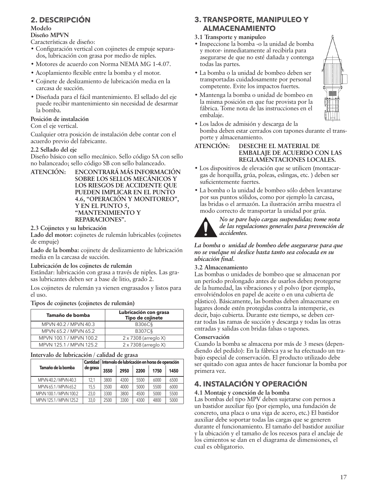# **2. DESCRIPCIÓN**

#### **Modelo**

#### **Diseño MPVN**

Características de diseño:

- Configuración vertical con cojinetes de empuje separados, lubricación con grasa por medio de niples.
- Motores de acuerdo con Norma NEMA MG 1-4.07.
- Acoplamiento flexible entre la bomba y el motor.
- Cojinete de deslizamiento de lubricación media en la carcasa de succión.
- Diseñada para el fácil mantenimiento. El sellado del eje puede recibir mantenimiento sin necesidad de desarmar la bomba.

## **Posición de instalación**

Con el eje vertical.

Cualquier otra posición de instalación debe contar con el acuerdo previo del fabricante.

## **2.2 Sellado del eje**

Diseño básico con sello mecánico. Sello código SA con sello no balanceado; sello código SB con sello balanceado.

**ATENCIÓN: ENCONTRARÁ MÁS INFORMACIÓN SOBRE LOS SELLOS MECÁNICOS Y LOS RIESGOS DE ACCIDENTE QUE PUEDEN IMPLICAR EN EL PUNTO 4.6, "OPERACIÓN Y MONITOREO", Y EN EL PUNTO 5, "MANTENIMIENTO Y REPARACIONES".**

#### **2.3 Cojinetes y su lubricación**

**Lado del motor:** cojinetes de rulemán lubricables (cojinetes de empuje)

**Lado de la bomba:** cojinete de deslizamiento de lubricación media en la carcasa de succión.

#### **Lubricación de los cojinetes de rulemán**

Estándar: lubricación con grasa a través de niples. Las grasas lubricantes deben ser a base de litio, grado 2.

Los cojinetes de rulemán ya vienen engrasados y listos para el uso.

**Tipos de cojinetes (cojinetes de rulemán)**

| Tamaño de bomba         | Lubricación con grasa<br>Tipo de cojinete |
|-------------------------|-------------------------------------------|
| MPVN 40.2 / MPVN 40.3   | <b>B306C§</b>                             |
| MPVN 65.2 / MPVN 65.2   | <b>B307C§</b>                             |
| MPVN 100.1 / MPVN 100.2 | $2 \times 7308$ (arreglo X)               |
| MPVN 125.1 / MPVN 125.2 | 2 x 7308 (arreglo X)                      |

#### **Intervalo de lubricación / calidad de grasa**

| $\frac{1}{1000}$ , and the implication $\frac{1}{1000}$ and $\frac{1}{1000}$ |                                                           |      |      |      |      |      |  |
|------------------------------------------------------------------------------|-----------------------------------------------------------|------|------|------|------|------|--|
|                                                                              | Cantidad   Intervalo de lubricación en horas de operación |      |      |      |      |      |  |
| Tamaño de la bomba                                                           | de grasa                                                  | 3550 | 2950 | 2200 | 1750 | 1450 |  |
| MPVN 40.2 / MPVN 40.3                                                        | 12.1                                                      | 3800 | 4300 | 5500 | 6000 | 6500 |  |
| MPVN 65.1 / MPVN 65.2                                                        | 15.5                                                      | 3500 | 4000 | 5000 | 5500 | 6000 |  |
| MPVN 100.1 / MPVN 100.2                                                      | 23.0                                                      | 3300 | 3800 | 4500 | 5000 | 5500 |  |
| MPVN 125.1 / MPVN 125.2                                                      | 33,0                                                      | 2500 | 3300 | 4300 | 4800 | 5000 |  |

# **3. TRANSPORTE, MANIPULEO Y ALMACENAMIENTO**

# **3.1 Transporte y manipuleo**

- Inspeccione la bomba -o la unidad de bomba y motor- inmediatamente al recibirla para asegurarse de que no esté dañada y contenga todas las partes.
- La bomba o la unidad de bombeo deben ser transportadas cuidadosamente por personal competente. Evite los impactos fuertes.
- Mantenga la bomba o unidad de bombeo en la misma posición en que fue provista por la fábrica. Tome nota de las instrucciones en el embalaje.



• Los lados de admisión y descarga de la bomba deben estar cerrados con tapones durante el transporte y almacenamiento.

#### **ATENCIÓN: DESECHE EL MATERIAL DE EMBALAJE DE ACUERDO CON LAS REGLAMENTACIONES LOCALES.**

- Los dispositivos de elevación que se utilicen (montacargas de horquilla, grúa, poleas, eslingas, etc. ) deben ser suficientemente fuertes.
- La bomba o la unidad de bombeo sólo deben levantarse por sus puntos sólidos, como por ejemplo la carcasa, las bridas o el armazón. La ilustración arriba muestra el modo correcto de transportar la unidad por grúa.



*No se pare bajo cargas suspendidas; tome nota de las regulaciones generales para prevención de accidentes.*

*La bomba o unidad de bombeo debe asegurarse para que no se vuelque ni deslice hasta tanto sea colocada en su ubicación final.*

#### **3.2 Almacenamiento**

Las bombas o unidades de bombeo que se almacenan por un período prolongado antes de usarlos deben protegerse de la humedad, las vibraciones y el polvo (por ejemplo, envolviéndolos en papel de aceite o en una cubierta de plástico). Básicamente, las bombas deben almacenarse en lugares donde estén protegidas contra la intemperie, es decir, bajo cubierta. Durante este tiempo, se deben cerrar todas las ramas de succión y descarga y todas las otras entradas y salidas con bridas falsas o tapones.

#### **Conservación**

Cuando la bomba se almacena por más de 3 meses (dependiendo del pedido): En la fábrica ya se ha efectuado un trabajo especial de conservación. El producto utilizado debe ser quitado con agua antes de hacer funcionar la bomba por primera vez.

# **4. INSTALACIÓN Y OPERACIÓN**

#### **4.1 Montaje y conexión de la bomba**

Las bombas del tipo MPV deben sujetarse con pernos a un bastidor auxiliar fijo (por ejemplo, una fundación de concreto, una placa o una viga de acero, etc.) El bastidor auxiliar debe soportar todas las cargas que se generen durante el funcionamiento. El tamaño del bastidor auxiliar y la ubicación y el tamaño de los recesos para el anclaje de los cimientos se dan en el diagrama de dimensiones, el cual es obligatorio.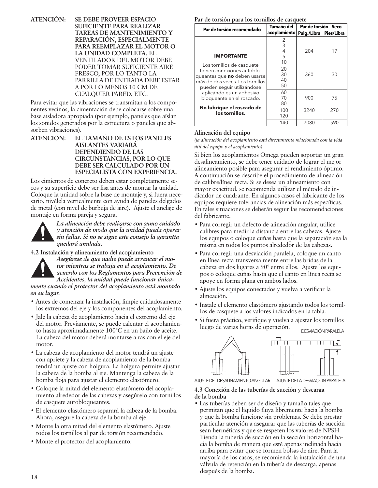**ATENCIÓN: SE DEBE PROVEER ESPACIO SUFICIENTE PARA REALIZAR TAREAS DE MANTENIMIENTO Y REPARACIÓN, ESPECIALMENTE PARA REEMPLAZAR EL MOTOR O LA UNIDAD COMPLETA.** EL VENTILADOR DEL MOTOR DEBE PODER TOMAR SUFICIENTE AIRE FRESCO, POR LO TANTO LA PARRILLA DE ENTRADA DEBE ESTAR A POR LO MENOS 10 CM DE CUALQUIER PARED, ETC.

Para evitar que las vibraciones se transmitan a los componentes vecinos, la cimentación debe colocarse sobre una base aisladora apropiada (por ejemplo, paneles que aíslan los sonidos generados por la estructura o paneles que absorben vibraciones).

**ATENCIÓN: EL TAMAÑO DE ESTOS PANELES AISLANTES VARIARÁ DEPENDIENDO DE LAS CIRCUNSTANCIAS, POR LO QUE DEBE SER CALCULADO POR UN ESPECIALISTA CON EXPERIENCIA.**

Los cimientos de concreto deben estar completamente secos y su superficie debe ser lisa antes de montar la unidad. Coloque la unidad sobre la base de montaje y, si fuera necesario, nivélela verticalmente con ayuda de paneles delgados de metal (con nivel de burbuja de aire). Ajuste el anclaje de montaje en forma pareja y segura.



*La alineación debe realizarse con sumo cuidado y atención de modo que la unidad pueda operar sin fallas. Si no se sigue este consejo la garantía quedará anulada.*

**4.2 Instalación y alineamiento del acoplamiento**



*Asegúrese de que nadie puede arrancar el motor mientras se trabaja en el acoplamiento. De acuerdo con los Reglamentos para Prevención de Accidentes, la unidad puede funcionar única-*

*mente cuando el protector del acoplamiento está montado en su lugar.*

- Antes de comenzar la instalación, limpie cuidadosamente los extremos del eje y los componentes del acoplamiento.
- Jale la cabeza de acoplamiento hacia el extremo del eje del motor. Previamente, se puede calentar el acoplamiento hasta aproximadamente 100°C en un baño de aceite. La cabeza del motor deberá montarse a ras con el eje del motor.
- La cabeza de acoplamiento del motor tendrá un ajuste con apriete y la cabeza de acoplamiento de la bomba tendrá un ajuste con holgura. La holgura permite ajustar la cabeza de la bomba al eje. Mantenga la cabeza de la bomba floja para ajustar el elemento elastómero.
- Coloque la mitad del elemento elastómero del acoplamiento alrededor de las cabezas y asegúrelo con tornillos de casquete autobloqueantes.
- El elemento elastómero separará la cabeza de la bomba. Ahora, asegure la cabeza de la bomba al eje.
- Monte la otra mitad del elemento elastómero. Ajuste todos los tornillos al par de torsión recomendado.
- Monte el protector del acoplamiento.

**Par de torsión para los tornillos de casquete**

| Par de torsión recomendado      | Tamaño del   | Par de torsión - Seco |            |  |
|---------------------------------|--------------|-----------------------|------------|--|
|                                 | acoplamiento | Pulg./Libra           | Pies/Libra |  |
|                                 | 2            |                       |            |  |
|                                 | 3            |                       |            |  |
|                                 | 4            | 204                   | 17         |  |
| <b>IMPORTANTE</b>               | 5            |                       |            |  |
| Los tornillos de casquete       | 10           |                       |            |  |
| tienen conexiones autoblo-      | 20           |                       |            |  |
| queantes que no deben usarse    | 30           | 360                   | 30         |  |
| más de dos veces. Los tornillos | 40           |                       |            |  |
| pueden seguir utilizándose      | 50           |                       |            |  |
| aplicándoles un adhesivo        | 60           |                       |            |  |
| bloqueante en el roscado.       | 70           | 900                   | 75         |  |
|                                 | 80           |                       |            |  |
| No lubrique el roscado de       | 100          | 3240                  | 270        |  |
| los tornillos.                  | 120          |                       |            |  |
|                                 | 140          | 7080                  | 590        |  |

#### **Alineación del equipo**

*(la alineación del acoplamiento está directamente relacionada con la vida útil del equipo y el acoplamiento)*

Si bien los acoplamientos Omega pueden soportar un gran desalineamiento, se debe tener cuidado de lograr el mejor alineamiento posible para asegurar el rendimiento óptimo. A continuación se describe el procedimiento de alineación de calibre/línea recta. Si se desea un alineamiento con mayor exactitud, se recomienda utilizar el método de indicador de cuadrante. En algunos casos el fabricante de los equipos requiere tolerancias de alineación más específicas. En tales situaciones se deberán seguir las recomendaciones del fabricante.

- Para corregir un defecto de alineación angular, utilice calibres para medir la distancia entre las cabezas. Ajuste los equipos o coloque cuñas hasta que la separación sea la misma en todos los puntos alrededor de las cabezas.
- Para corregir una desviación paralela, coloque un canto en línea recta transversalmente entre las bridas de la cabeza en dos lugares a 90° entre ellos. Ajuste los equipos o coloque cuñas hasta que el canto en línea recta se apoye en forma plana en ambos lados.
- Ajuste los equipos conectados y vuelva a verificar la alineación.
- Instale el elemento elastómero ajustando todos los tornillos de casquete a los valores indicados en la tabla.
- Si fuera práctico, verifique y vuelva a ajustar los tornillos luego de varias horas de operación. DESVIACIÓN PARALELA



AJUSTE DEL DESALINAMIENTO ANGULAR AJUSTE DE LA DESVIACIÓN PARALELA

#### **4.3 Conexión de las tuberías de succión y descarga de la bomba**

• Las tuberías deben ser de diseño y tamaño tales que permitan que el líquido fluya libremente hacia la bomba y que la bomba funcione sin problemas. Se debe prestar particular atención a asegurar que las tuberías de succión sean herméticas y que se respeten los valores de NPSH. Tienda la tubería de succión en la sección horizontal hacia la bomba de manera que esté apenas inclinada hacia arriba para evitar que se formen bolsas de aire. Para la mayoría de los casos, se recomienda la instalación de una válvula de retención en la tubería de descarga, apenas después de la bomba.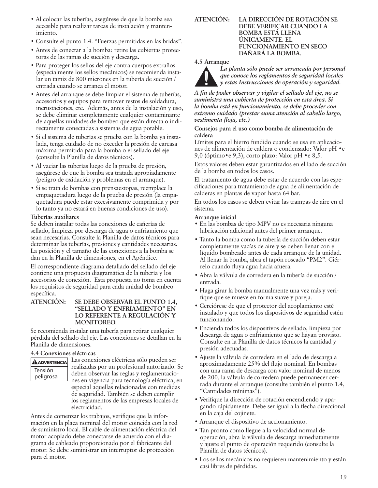- Al colocar las tuberías, asegúrese de que la bomba sea accesible para realizar tareas de instalación y mantenimiento.
- Consulte el punto 1.4. "Fuerzas permitidas en las bridas".
- Antes de conectar a la bomba: retire las cubiertas protectoras de las ramas de succión y descarga.
- Para proteger los sellos del eje contra cuerpos extraños (especialmente los sellos mecánicos) se recomienda instalar un tamiz de 800 micrones en la tubería de succión / entrada cuando se arranca el motor.
- Antes del arranque se debe limpiar el sistema de tuberías, accesorios y equipos para remover restos de soldadura, incrustaciones, etc. Además, antes de la instalación y uso, se debe eliminar completamente cualquier contaminante de aquellas unidades de bombeo que están directa o indirectamente conectadas a sistemas de agua potable.
- Si el sistema de tuberías se prueba con la bomba ya instalada, tenga cuidado de no exceder la presión de carcasa máxima permitida para la bomba o el sellado del eje (consulte la Planilla de datos técnicos).
- Al vaciar las tuberías luego de la prueba de presión, asegúrese de que la bomba sea tratada apropiadamente (peligro de oxidación y problemas en el arranque).
- Si se trata de bombas con prensaestopas, reemplace la empaquetadura luego de la prueba de presión (la empaquetadura puede estar excesivamente comprimida y por lo tanto ya no estará en buenas condiciones de uso).

#### **Tuberías auxiliares**

Se deben instalar todas las conexiones de cañerías de sellado, limpieza por descarga de agua o enfriamiento que sean necesarias. Consulte la Planilla de datos técnicos para determinar las tuberías, presiones y cantidades necesarias. La posición y el tamaño de las conexiones a la bomba se dan en la Planilla de dimensiones, en el Apéndice.

El correspondiente diagrama detallado del sellado del eje contiene una propuesta diagramática de la tubería y los accesorios de conexión. Esta propuesta no toma en cuenta los requisitos de seguridad para cada unidad de bombeo específica.

#### **ATENCIÓN: SE DEBE OBSERVAR EL PUNTO 1.4, "SELLADO Y ENFRIAMIENTO" EN LO REFERENTE A REGULACIÓN Y MONITOREO.**

Se recomienda instalar una tubería para retirar cualquier pérdida del sellado del eje. Las conexiones se detallan en la Planilla de dimensiones.

#### **4.4 Conexiones eléctricas**

**AADVERTENCIA** Tensión peligrosa

Las conexiones eléctricas sólo pueden ser realizadas por un profesional autorizado. Se deben observar las reglas y reglamentaciones en vigencia para tecnología eléctrica, en especial aquellas relacionadas con medidas de seguridad. También se deben cumplir los reglamentos de las empresas locales de electricidad.

Antes de comenzar los trabajos, verifique que la información en la placa nominal del motor coincida con la red de suministro local. El cable de alimentación eléctrica del motor acoplado debe conectarse de acuerdo con el diagrama de cableado proporcionado por el fabricante del motor. Se debe suministrar un interruptor de protección para el motor.

**ATENCIÓN: LA DIRECCIÓN DE ROTACIÓN SE DEBE VERIFICAR CUANDO LA BOMBA ESTÁ LLENA ÚNICAMENTE. EL FUNCIONAMIENTO EN SECO DAÑARÁ LA BOMBA.**

#### **4.5 Arranque**

*La planta sólo puede ser arrancada por personal que conoce los reglamentos de seguridad locales y estas Instrucciones de operación y seguridad.*

*A fin de poder observar y vigilar el sellado del eje, no se suministra una cubierta de protección en esta área. Si la bomba está en funcionamiento, se debe proceder con extremo cuidado (prestar suma atención al cabello largo, vestimenta floja, etc.)*

**Consejos para el uso como bomba de alimentación de caldera**

Límites para el hierro fundido cuando se usa en aplicaciones de alimentación de caldera o condensado: Valor pH •e 9,0 (óptimo•e 9,3), corto plazo: Valor pH •e 8,5.

Estos valores deben estar garantizados en el lado de succión de la bomba en todos los casos.

El tratamiento de agua debe estar de acuerdo con las especificaciones para tratamiento de agua de alimentación de calderas en plantas de vapor hasta 64 bar.

En todos los casos se deben evitar las trampas de aire en el sistema.

#### **Arranque inicial**

- En las bombas de tipo MPV no es necesaria ninguna lubricación adicional antes del primer arranque.
- Tanto la bomba como la tubería de succión deben estar completamente vacías de aire y se deben llenar con el líquido bombeado antes de cada arranque de la unidad. Al llenar la bomba, abra el tapón roscado "PM2". Ciérrelo cuando fluya agua hacia afuera.
- Abra la válvula de corredera en la tubería de succión / entrada.
- Haga girar la bomba manualmente una vez más y verifique que se mueve en forma suave y pareja.
- Cerciórese de que el protector del acoplamiento esté instalado y que todos los dispositivos de seguridad estén funcionando.
- Encienda todos los dispositivos de sellado, limpieza por descarga de agua o enfriamiento que se hayan provisto. Consulte en la Planilla de datos técnicos la cantidad y presión adecuadas.
- Ajuste la válvula de corredera en el lado de descarga a aproximadamente 25% del flujo nominal. En bombas con una rama de descarga con valor nominal de menos de 200, la válvula de corredera puede permanecer cerrada durante el arranque (consulte también el punto 1.4, "Cantidades mínimas").
- Verifique la dirección de rotación encendiendo y apagando rápidamente. Debe ser igual a la flecha direccional en la caja del cojinete.
- Arranque el dispositivo de accionamiento.
- Tan pronto como llegue a la velocidad normal de operación, abra la válvula de descarga inmediatamente y ajuste el punto de operación requerido (consulte la Planilla de datos técnicos).
- Los sellos mecánicos no requieren mantenimiento y están casi libres de pérdidas.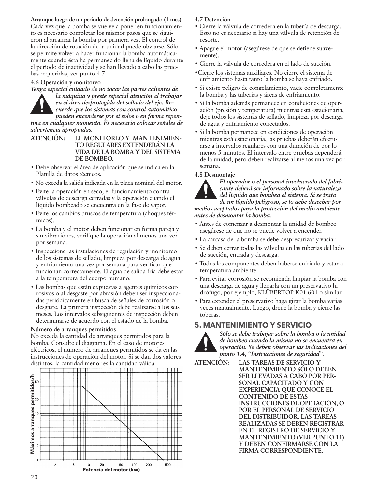**Arranque luego de un período de detención prolongado (1 mes)** Cada vez que la bomba se vuelve a poner en funcionamiento es necesario completar los mismos pasos que se siguieron al arrancar la bomba por primera vez. El control de la dirección de rotación de la unidad puede obviarse. Sólo se permite volver a hacer funcionar la bomba automáticamente cuando ésta ha permanecido llena de líquido durante el período de inactividad y se han llevado a cabo las pruebas requeridas, ver punto 4.7.

#### **4.6 Operación y monitoreo**



*Tenga especial cuidado de no tocar las partes calientes de la máquina y preste especial atención al trabajar en el área desprotegida del sellado del eje. Recuerde que los sistemas con control automático pueden encenderse por sí solos o en forma repentina en cualquier momento. Es necesario colocar señales de advertencia apropiadas.*

- **ATENCIÓN: EL MONITOREO Y MANTENIMIEN-TO REGULARES EXTENDERÁN LA VIDA DE LA BOMBA Y DEL SISTEMA DE BOMBEO.**
- Debe observar el área de aplicación que se indica en la Planilla de datos técnicos.
- No exceda la salida indicada en la placa nominal del motor.
- Evite la operación en seco, el funcionamiento contra válvulas de descarga cerradas y la operación cuando el líquido bombeado se encuentra en la fase de vapor.
- Evite los cambios bruscos de temperatura (choques térmicos).
- La bomba y el motor deben funcionar en forma pareja y sin vibraciones, verifique la operación al menos una vez por semana.
- Inspeccione las instalaciones de regulación y monitoreo de los sistemas de sellado, limpieza por descarga de agua y enfriamiento una vez por semana para verificar que funcionan correctamente. El agua de salida fría debe estar a la temperatura del cuerpo humano.
- Las bombas que están expuestas a agentes químicos corrosivos o al desgaste por abrasión deben ser inspeccionadas periódicamente en busca de señales de corrosión o desgaste. La primera inspección debe realizarse a los seis meses. Los intervalos subsiguientes de inspección deben determinarse de acuerdo con el estado de la bomba.

#### **Número de arranques permitidos**

No exceda la cantidad de arranques permitidos para la bomba. Consulte el diagrama. En el caso de motores eléctricos, el número de arranques permitidos se da en las instrucciones de operación del motor. Si se dan dos valores distintos, la cantidad menor es la cantidad válida.



#### **4.7 Detención**

- Cierre la válvula de corredera en la tubería de descarga. Esto no es necesario si hay una válvula de retención de resorte.
- Apague el motor (asegúrese de que se detiene suavemente).
- Cierre la válvula de corredera en el lado de succión.
- •Cierre los sistemas auxiliares. No cierre el sistema de enfriamiento hasta tanto la bomba se haya enfriado.
- Si existe peligro de congelamiento, vacíe completamente la bomba y las tuberías y áreas de enfriamiento.
- Si la bomba además permanece en condiciones de operación (presión y temperatura) mientras está estacionaria, deje todos los sistemas de sellado, limpieza por descarga de agua y enfriamiento conectados.
- Si la bomba permanece en condiciones de operación mientras está estacionaria, las pruebas deberán efectuarse a intervalos regulares con una duración de por lo menos 5 minutos. El intervalo entre pruebas dependerá de la unidad, pero deben realizarse al menos una vez por semana.

#### **4.8 Desmontaje**



*El operador o el personal involucrado del fabricante deberá ser informado sobre la naturaleza del líquido que bombea el sistema. Si se trata de un líquido peligroso, se lo debe desechar por medios aceptados para la protección del medio ambiente* 

*antes de desmontar la bomba.* • Antes de comenzar a desmontar la unidad de bombeo asegúrese de que no se puede volver a encender.

- La carcasa de la bomba se debe despresurizar y vaciar.
- Se deben cerrar todas las válvulas en las tuberías del lado de succión, entrada y descarga.
- Todos los componentes deben haberse enfriado y estar a temperatura ambiente.
- Para evitar corrosión se recomienda limpiar la bomba con una descarga de agua y llenarla con un preservativo hidrófugo, por ejemplo, KLÜBERTOP K01.601 o similar.
- Para extender el preservativo haga girar la bomba varias veces manualmente. Luego, drene la bomba y cierre las toberas.

# **5. MANTENIMIENTO Y SERVICIO**



*Sólo se debe trabajar sobre la bomba o la unidad de bombeo cuando la misma no se encuentra en operación. Se deben observar las indicaciones del punto 1.4, "Instrucciones de seguridad".*

**ATENCIÓN: LAS TAREAS DE SERVICIO Y MANTENIMIENTO SÓLO DEBEN SER LLEVADAS A CABO POR PER-SONAL CAPACITADO Y CON EXPERIENCIA QUE CONOCE EL CONTENIDO DE ESTAS INSTRUCCIONES DE OPERACIÓN, O POR EL PERSONAL DE SERVICIO DEL DISTRIBUIDOR. LAS TAREAS REALIZADAS SE DEBEN REGISTRAR EN EL REGISTRO DE SERVICIO Y MANTENIMIENTO (VER PUNTO 11) Y DEBEN CONFIRMARSE CON LA FIRMA CORRESPONDIENTE.**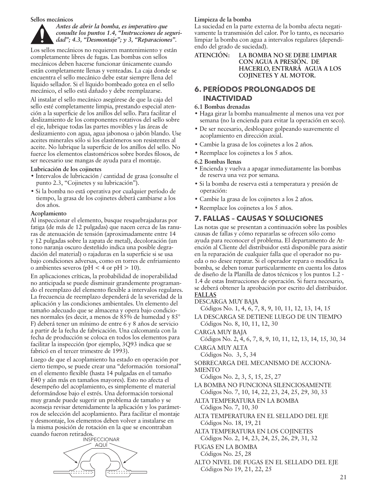#### **Sellos mecánicos**



Los sellos mecánicos no requieren mantenimiento y están completamente libres de fugas. Las bombas con sellos mecánicos deben hacerse funcionar únicamente cuando están completamente llenas y venteadas. La caja donde se encuentra el sello mecánico debe estar siempre llena del líquido sellador. Si el líquido bombeado gotea en el sello mecánico, el sello está dañado y debe reemplazarse.

Al instalar el sello mecánico asegúrese de que la caja del sello esté completamente limpia, prestando especial atención a la superficie de los anillos del sello. Para facilitar el deslizamiento de los componentes rotativos del sello sobre el eje, lubrique todas las partes movibles y las áreas de deslizamiento con agua, agua jabonosa o jabón blando. Use aceites minerales sólo si los elastómeros son resistentes al aceite. No lubrique la superficie de los anillos del sello. No fuerce los elementos elastoméricos sobre bordes filosos, de ser necesario use mangas de ayuda para el montaje.

#### **Lubricación de los cojinetes**

- Intervalos de lubricación / cantidad de grasa (consulte el punto 2.3, "Cojinetes y su lubricación").
- Si la bomba no está operativa por cualquier período de tiempo, la grasa de los cojinetes deberá cambiarse a los dos años.

#### **Acoplamiento**

Al inspeccionar el elemento, busque resquebrajaduras por fatiga (de más de 12 pulgadas) que nacen cerca de las ranuras de atenuación de tensión (aproximadamente entre 14 y 12 pulgadas sobre la zapata de metal), decoloración (un tono naranja oscuro desteñido indica una posible degradación del material) o rajaduras en la superficie si se usa bajo condiciones adversas, como en torres de enfriamiento o ambientes severos (pH < 4 or pH > 10).

En aplicaciones críticas, la probabilidad de inoperabilidad no anticipada se puede disminuir grandemente programando el reemplazo del elemento flexible a intervalos regulares. La frecuencia de reemplazo dependerá de la severidad de la aplicación y las condiciones ambientales. Un elemento del tamaño adecuado que se almacena y opera bajo condiciones normales (es decir, a menos de 85% de humedad y 85° F) deberá tener un mínimo de entre 6 y 8 años de servicio a partir de la fecha de fabricación. Una calcomanía con la fecha de producción se coloca en todos los elementos para facilitar la inspección (por ejemplo, 3Q93 indica que se fabricó en el tercer trimestre de 1993).

Luego de que el acoplamiento ha estado en operación por cierto tiempo, se puede crear una "deformación torsional" en el elemento flexible (hasta 14 pulgadas en el tamaño E40 y aún más en tamaños mayores). Esto no afecta el desempeño del acoplamiento, es simplemente el material deformándose bajo el estrés. Una deformación torsional muy grande puede sugerir un problema de tamaño y se aconseja revisar detenidamente la aplicación y los parámetros de selección del acoplamiento. Para facilitar el montaje y desmontaje, los elementos deben volver a instalarse en la misma posición de rotación en la que se encontraban cuando fueron retirados.



#### **Limpieza de la bomba**

La suciedad en la parte externa de la bomba afecta negativamente la transmisión del calor. Por lo tanto, es necesario limpiar la bomba con agua a intervalos regulares (dependiendo del grado de suciedad).

#### **ATENCIÓN: LA BOMBA NO SE DEBE LIMPIAR CON AGUA A PRESIÓN. DE HACERLO, ENTRARÁ AGUA A LOS COJINETES Y AL MOTOR.**

# **6. PERÍODOS PROLONGADOS DE INACTIVIDAD**

#### **6.1 Bombas drenadas**

- Haga girar la bomba manualmente al menos una vez por semana (no la encienda para evitar la operación en seco).
- De ser necesario, desbloquee golpeando suavemente el acoplamiento en dirección axial.
- Cambie la grasa de los cojinetes a los 2 años.
- Reemplace los cojinetes a los 5 años.
- **6.2 Bombas llenas**
- Encienda y vuelva a apagar inmediatamente las bombas de reserva una vez por semana.
- Si la bomba de reserva está a temperatura y presión de operación:
- Cambie la grasa de los cojinetes a los 2 años.
- Reemplace los cojinetes a los 5 años.

# **7. FALLAS – CAUSAS Y SOLUCIONES**

Las notas que se presentan a continuación sobre las posibles causas de fallas y cómo repararlas se ofrecen sólo como ayuda para reconocer el problema. El departamento de Atención al Cliente del distribuidor está disponible para asistir en la reparación de cualquier falla que el operador no pueda o no desee reparar. Si el operador repara o modifica la bomba, se deben tomar particularmente en cuenta los datos de diseño de la Planilla de datos técnicos y los puntos 1.2 - 1.4 de estas Instrucciones de operación. Si fuera necesario, se deberá obtener la aprobación por escrito del distribuidor. **FALLAS**

- DESCARGA MUY BAJA
	- Códigos No. 1, 4, 6, 7, 8, 9, 10, 11, 12, 13, 14, 15

LA DESCARGA SE DETIENE LUEGO DE UN TIEMPO Códigos No. 8, 10, 11, 12, 30

CARGA MUY BAJA

Códigos No. 2, 4, 6, 7, 8, 9, 10, 11, 12, 13, 14, 15, 30, 34 CARGA MUY ALTA

Códigos No. 3, 5, 34

SOBRECARGA DEL MECANISMO DE ACCIONA-MIENTO

- Códigos No. 2, 3, 5, 15, 25, 27
- LA BOMBA NO FUNCIONA SILENCIOSAMENTE Códigos No. 7, 10, 14, 22, 23, 24, 25, 29, 30, 33
- ALTA TEMPERATURA EN LA BOMBA Códigos No. 7, 10, 30
- ALTA TEMPERATURA EN EL SELLADO DEL EJE Códigos No. 18, 19, 21
- ALTA TEMPERATURA EN LOS COJINETES Códigos No. 2, 14, 23, 24, 25, 26, 29, 31, 32
- FUGAS EN LA BOMBA
- Códigos No. 25, 28
- ALTO NIVEL DE FUGAS EN EL SELLADO DEL EJE Códigos No 19, 21, 22, 25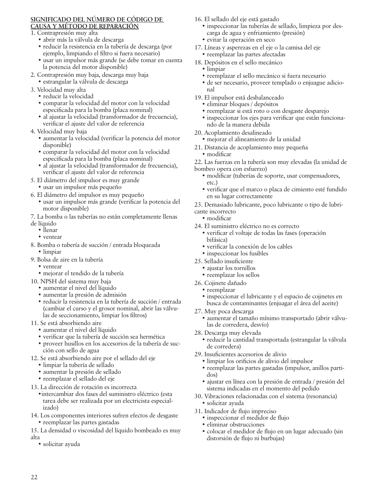#### **SIGNIFICADO DEL NÚMERO DE CÓDIGO DE CAUSA Y MÉTODO DE REPARACIÓN**

- 1. Contrapresión muy alta
	- abrir más la válvula de descarga
	- reducir la resistencia en la tubería de descarga (por ejemplo, limpiando el filtro si fuera necesario)
	- usar un impulsor más grande (se debe tomar en cuenta la potencia del motor disponible)
- 2. Contrapresión muy baja, descarga muy baja
	- estrangular la válvula de descarga
- 3. Velocidad muy alta
	- reducir la velocidad
		- comparar la velocidad del motor con la velocidad especificada para la bomba (placa nominal)
		- al ajustar la velocidad (transformador de frecuencia), verificar el ajuste del valor de referencia
- 4. Velocidad muy baja
	- aumentar la velocidad (verificar la potencia del motor disponible)
	- comparar la velocidad del motor con la velocidad especificada para la bomba (placa nominal)
	- al ajustar la velocidad (transformador de frecuencia), verificar el ajuste del valor de referencia
- 5. El diámetro del impulsor es muy grande
	- usar un impulsor más pequeño
- 6. El diámetro del impulsor es muy pequeño
	- usar un impulsor más grande (verificar la potencia del motor disponible)
- 7. La bomba o las tuberías no están completamente llenas
- de líquido
	- llenar
	- ventear
- 8. Bomba o tubería de succión / entrada bloqueada • limpiar
- 9. Bolsa de aire en la tubería
	- ventear
	- mejorar el tendido de la tubería
- 10. NPSH del sistema muy baja
	- aumentar el nivel del líquido
	- aumentar la presión de admisión
	- reducir la resistencia en la tubería de succión / entrada (cambiar el curso y el grosor nominal, abrir las válvulas de seccionamiento, limpiar los filtros)
- 11. Se está absorbiendo aire
	- aumentar el nivel del líquido
	- verificar que la tubería de succión sea hermética
	- proveer husillos en los accesorios de la tubería de succión con sello de agua
- 12. Se está absorbiendo aire por el sellado del eje
	- limpiar la tubería de sellado
	- aumentar la presión de sellado
	- reemplazar el sellado del eje
- 13. La dirección de rotación es incorrecta
	- •intercambiar dos fases del suministro eléctrico (esta tarea debe ser realizada por un electricista especializado)
- 14. Los componentes interiores sufren efectos de desgaste • reemplazar las partes gastadas
- 15. La densidad o viscosidad del líquido bombeado es muy alta
	- solicitar ayuda
- 16. El sellado del eje está gastado
	- inspeccionar las tuberías de sellado, limpieza por descarga de agua y enfriamiento (presión)
	- evitar la operación en seco
- 17. Líneas y asperezas en el eje o la camisa del eje • reemplazar las partes afectadas
- 18. Depósitos en el sello mecánico
	- limpiar
	- reemplazar el sello mecánico si fuera necesario
	- de ser necesario, proveer templado o enjuague adicional
- 19. El impulsor está desbalanceado
	- eliminar bloques / depósitos
	- reemplazar si está roto o con desgaste desparejo
	- inspeccionar los ejes para verificar que están funcionando de la manera debida
- 20. Acoplamiento desalineado
	- mejorar el alineamiento de la unidad
- 21. Distancia de acoplamiento muy pequeña • modificar
- 22. Las fuerzas en la tubería son muy elevadas (la unidad de bombeo opera con esfuerzo)
	- modificar (tuberías de soporte, usar compensadores, etc.)
	- verificar que el marco o placa de cimiento esté fundido en su lugar correctamente
- 23. Demasiado lubricante, poco lubricante o tipo de lubri-
- cante incorrecto
	- modificar
- 24. El suministro eléctrico no es correcto
	- verificar el voltaje de todas las fases (operación bifásica)
	- verificar la conexión de los cables
	- inspeccionar los fusibles
- 25. Sellado insuficiente
	- ajustar los tornillos
	- reemplazar los sellos
- 26. Cojinete dañado
- reemplazar
	- inspeccionar el lubricante y el espacio de cojinetes en busca de contaminantes (enjuagar el área del aceite)
- 27. Muy poca descarga
	- aumentar el tamaño mínimo transportado (abrir válvulas de corredera, desvío)
- 28. Descarga muy elevada
	- reducir la cantidad transportada (estrangular la válvula de corredera)
- 29. Insuficientes accesorios de alivio
	- limpiar los orificios de alivio del impulsor
	- reemplazar las partes gastadas (impulsor, anillos partidos)
	- ajustar en línea con la presión de entrada / presión del sistema indicadas en el momento del pedido
- 30. Vibraciones relacionadas con el sistema (resonancia) • solicitar ayuda
- 31. Indicador de flujo impreciso
	- inspeccionar el medidor de flujo
	- eliminar obstrucciones
	- colocar el medidor de flujo en un lugar adecuado (sin distorsión de flujo ni burbujas)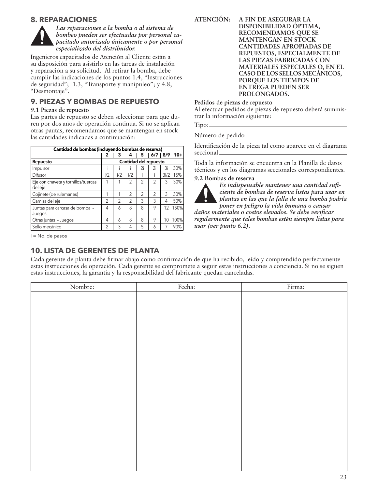# **8. REPARACIONES**



*Las reparaciones a la bomba o al sistema de bombeo pueden ser efectuadas por personal capacitado autorizado únicamente o por personal especializado del distribuidor.*

Ingenieros capacitados de Atención al Cliente están a su disposición para asistirlo en las tareas de instalación y reparación a su solicitud. Al retirar la bomba, debe cumplir las indicaciones de los puntos 1.4, "Instrucciones de seguridad"; 1.3, "Transporte y manipuleo"; y 4.8, "Desmontaje".

# **9. PIEZAS Y BOMBAS DE REPUESTO**

#### **9.1 Piezas de repuesto**

Las partes de repuesto se deben seleccionar para que duren por dos años de operación continua. Si no se aplican otras pautas, recomendamos que se mantengan en stock las cantidades indicadas a continuación:

| Cantidad de bombas (incluyendo bombas de reserva) |                |     |                |                |                              |      |                   |
|---------------------------------------------------|----------------|-----|----------------|----------------|------------------------------|------|-------------------|
|                                                   | 2              | з   | 4              | 5              |                              |      | $6/7$   8/9   10+ |
| <b>Repuesto</b>                                   |                |     |                |                | <b>Cantidad del repuesto</b> |      |                   |
| Impulsor                                          |                |     |                | 2i             | 2i                           | Зi   | 30%               |
| Difusor                                           | i/2            | i/2 | i/2            |                |                              | 3i/2 | 15%               |
| Eje con chaveta y tornillos/tuercas<br>del eje    | 1              |     | $\mathfrak{D}$ | $\mathfrak{D}$ | $\mathfrak{D}$               | 3    | 30%               |
| Cojinete (de rulemanes)                           | 1              | 1   | $\mathfrak{D}$ | $\mathfrak{D}$ | $\mathfrak{D}$               | 3    | 30%               |
| Camisa del eje                                    | $\mathfrak{D}$ | 2   | 2              | 3              | 3                            | 4    | 50%               |
| Juntas para carcasa de bomba -<br>Juegos          | 4              | 6   | 8              | 8              | 9                            | 12   | 150%              |
| Otras juntas - Juegos                             | 4              | 6   | 8              | 8              | 9                            | 10   | 100%              |
| Sello mecánico                                    | $\mathfrak{D}$ | 3   | 4              | 5              | 6                            |      | 90%               |

i = No. de pasos

# **10. LISTA DE GERENTES DE PLANTA**

**ATENCIÓN: A FIN DE ASEGURAR LA DISPONIBILIDAD ÓPTIMA, RECOMENDAMOS QUE SE MANTENGAN EN STOCK CANTIDADES APROPIADAS DE REPUESTOS, ESPECIALMENTE DE LAS PIEZAS FABRICADAS CON MATERIALES ESPECIALES O, EN EL CASO DE LOS SELLOS MECÁNICOS, PORQUE LOS TIEMPOS DE ENTREGA PUEDEN SER PROLONGADOS.**

#### **Pedidos de piezas de repuesto**

Al efectuar pedidos de piezas de repuesto deberá suministrar la información siguiente:

Número de pedido

Identificación de la pieza tal como aparece en el diagrama seccional

Toda la información se encuentra en la Planilla de datos técnicos y en los diagramas seccionales correspondientes.

#### **9.2 Bombas de reserva**



*Es indispensable mantener una cantidad suficiente de bombas de reserva listas para usar en plantas en las que la falla de una bomba podría poner en peligro la vida humana o causar* 

*daños materiales o costos elevados. Se debe verificar regularmente que tales bombas estén siempre listas para usar (ver punto 6.2).*

Cada gerente de planta debe firmar abajo como confirmación de que ha recibido, leído y comprendido perfectamente estas instrucciones de operación. Cada gerente se compromete a seguir estas instrucciones a conciencia. Si no se siguen estas instrucciones, la garantía y la responsabilidad del fabricante quedan canceladas.

| Nombre: | Fecha: | Firma: |
|---------|--------|--------|
|         |        |        |
|         |        |        |
|         |        |        |
|         |        |        |
|         |        |        |
|         |        |        |
|         |        |        |
|         |        |        |
|         |        |        |
|         |        |        |
|         |        |        |
|         |        |        |
|         |        |        |
|         |        |        |
|         |        |        |
|         |        |        |
|         |        |        |
|         |        |        |
|         |        |        |
|         |        |        |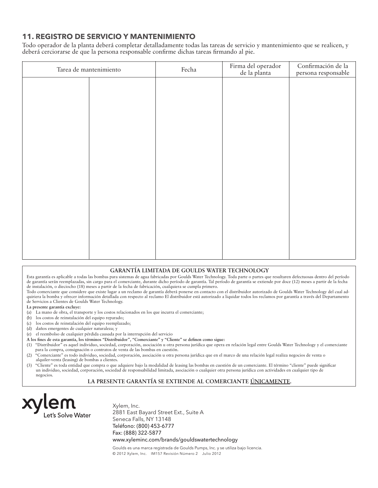# **11. REGISTRO DE SERVICIO Y MANTENIMIENTO**

Todo operador de la planta deberá completar detalladamente todas las tareas de servicio y mantenimiento que se realicen, y deberá cerciorarse de que la persona responsable confirme dichas tareas firmando al pie.

| Tarea de mantenimiento | Fecha | Firma del operador<br>de la planta | Confirmación de la<br>persona responsable |
|------------------------|-------|------------------------------------|-------------------------------------------|
|                        |       |                                    |                                           |
|                        |       |                                    |                                           |
|                        |       |                                    |                                           |
|                        |       |                                    |                                           |
|                        |       |                                    |                                           |
|                        |       |                                    |                                           |
|                        |       |                                    |                                           |
|                        |       |                                    |                                           |
|                        |       |                                    |                                           |
|                        |       |                                    |                                           |
|                        |       |                                    |                                           |
|                        |       |                                    |                                           |

#### **GARANTÍA LIMITADA DE GOULDS WATER TECHNOLOGY**

Esta garantía es aplicable a todas las bombas para sistemas de agua fabricadas por Goulds Water Technology. Toda parte o partes que resultaren defectuosas dentro del período de garantía serán reemplazadas, sin cargo para el comerciante, durante dicho período de garantía. Tal período de garantía se extiende por doce (12) meses a partir de la fecha de instalación, o dieciocho (18) meses a partir de la fecha de fabricación, cualquiera se cumpla primero.

Todo comerciante que considere que existe lugar a un reclamo de garantía deberá ponerse en contacto con el distribuidor autorizado de Goulds Water Technology del cual ad-<br>quiriera la bomba y ofrecer información detallada c de Servicios a Clientes de Goulds Water Technology.

#### **La presente garantía excluye:**

- (a) La mano de obra, el transporte y los costos relacionados en los que incurra el comerciante;
- (b) los costos de reinstalación del equipo reparado;
- (c) los costos de reinstalación del equipo reemplazado;
- (d) daños emergentes de cualquier naturaleza; y
- (e) el reembolso de cualquier pérdida causada por la interrupción del servicio
- **A los fines de esta garantía, los términos "Distribuidor", "Comerciante" y "Cliente" se definen como sigue:**
- (1) "Distribuidor" es aquel individuo, sociedad, corporación, asociación u otra persona jurídica que opera en relación legal entre Goulds Water Technology y el comerciante para la compra, consignación o contratos de venta de las bombas en cuestión.
- (2) "Comerciante" es todo individuo, sociedad, corporación, asociación u otra persona jurídica que en el marco de una relación legal realiza negocios de venta o alquiler-venta (leasing) de bombas a clientes.
- (3) "Cliente" es toda entidad que compra o que adquiere bajo la modalidad de leasing las bombas en cuestión de un comerciante. El término "cliente" puede significar un individuo, sociedad, corporación, sociedad de responsabilidad limitada, asociación o cualquier otra persona jurídica con actividades en cualquier tipo de negocios.

#### **LA PRESENTE GARANTÍA SE EXTIENDE AL COMERCIANTE ÚNICAMENTE.**



Xylem, Inc. 2881 East Bayard Street Ext., Suite A Seneca Falls, NY 13148 Teléfono: (800) 453-6777 Fax: (888) 322-5877 www.xyleminc.com/brands/gouldswatertechnology

Goulds es una marca registrada de Goulds Pumps, Inc. y se utiliza bajo licencia. © 2012 Xylem, Inc. IM157 Revisión Número 2 Julio 2012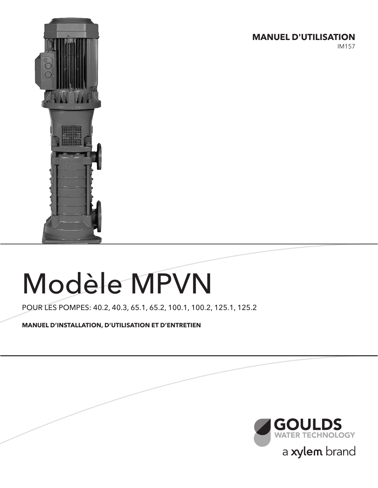**MANUEL D'UTILISATION**

IM157



# Modèle MPVN

POUR LES POMPES: 40.2, 40.3, 65.1, 65.2, 100.1, 100.2, 125.1, 125.2

**MANUEL D'INSTALLATION, D'UTILISATION ET D'ENTRETIEN**

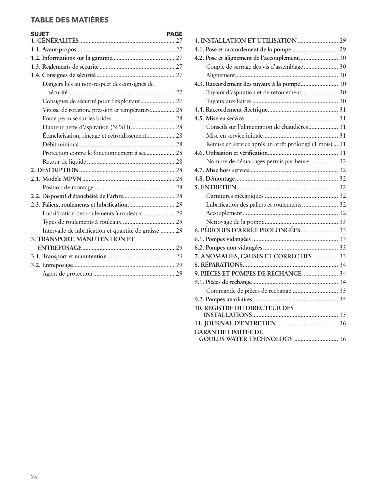# **TABLE DES MATIÈRES**

| <b>SUJET</b><br><b>PAGE</b>                            |
|--------------------------------------------------------|
|                                                        |
|                                                        |
|                                                        |
|                                                        |
| Dangers liés au non-respect des consignes de           |
|                                                        |
| Consignes de sécurité pour l'exploitant 27             |
| Vitesse de rotation, pression et température 28        |
|                                                        |
| Hauteur nette d'aspiration (NPSH) 28                   |
| Étanchéisation, rinçage et refroidissement 28          |
|                                                        |
|                                                        |
|                                                        |
|                                                        |
|                                                        |
|                                                        |
|                                                        |
|                                                        |
| Lubrification des roulements à rouleaux  29            |
|                                                        |
| Intervalle de lubrification et quantité de graisse  29 |
| 3. TRANSPORT, MANUTENTION ET                           |
|                                                        |
|                                                        |
|                                                        |
|                                                        |

| 4.2. Pose et alignement de l'accouplement 30           |  |
|--------------------------------------------------------|--|
| Couple de serrage des vis d'assemblage 30              |  |
|                                                        |  |
| 4.3. Raccordement des tuyaux à la pompe 30             |  |
| Tuyaux d'aspiration et de refoulement 30               |  |
|                                                        |  |
|                                                        |  |
|                                                        |  |
| Conseils sur l'alimentation de chaudières 31           |  |
|                                                        |  |
| Remise en service après un arrêt prolongé (1 mois)  31 |  |
|                                                        |  |
| Nombre de démarrages permis par heure  32              |  |
|                                                        |  |
|                                                        |  |
|                                                        |  |
|                                                        |  |
| Lubrification des paliers et roulements 32             |  |
|                                                        |  |
|                                                        |  |
|                                                        |  |
|                                                        |  |
|                                                        |  |
| 7. ANOMALIES, CAUSES ET CORRECTIFS  33                 |  |
|                                                        |  |
| 9. PIÈCES ET POMPES DE RECHANGE 34                     |  |
|                                                        |  |
|                                                        |  |
|                                                        |  |
| <b>10. REGISTRE DU DIRECTEUR DES</b>                   |  |
|                                                        |  |
|                                                        |  |
| <b>GARANTIE LIMITÉE DE</b>                             |  |
|                                                        |  |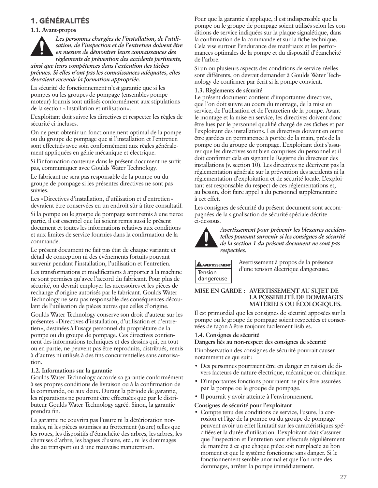# **1. GÉNÉRALITÉS**

#### **1.1. Avant-propos**

*Les personnes chargées de l'installation, de l'utilisation, de l'inspection et de l'entretien doivent être en mesure de démontrer leurs connaissances des règlements de prévention des accidents pertinents, ainsi que leurs compétences dans l'exécution des tâches prévues. Si elles n'ont pas les connaissances adéquates, elles devraient recevoir la formation appropriée.*

La sécurité de fonctionnement n'est garantie que si les pompes ou les groupes de pompage (ensembles pompemoteur) fournis sont utilisés conformément aux stipulations de la section «Installation et utilisation».

L'exploitant doit suivre les directives et respecter les règles de sécurité ci-incluses.

On ne peut obtenir un fonctionnement optimal de la pompe ou du groupe de pompage que si l'installation et l'entretien sont effectués avec soin conformément aux règles généralement appliquées en génie mécanique et électrique.

Si l'information contenue dans le présent document ne suffit pas, communiquer avec Goulds Water Technology.

Le fabricant ne sera pas responsable de la pompe ou du groupe de pompage si les présentes directives ne sont pas suivies.

Les «Directives d'installation, d'utilisation et d'entretien» devraient être conservées en un endroit sûr à titre consultatif.

Si la pompe ou le groupe de pompage sont remis à une tierce partie, il est essentiel que lui soient remis aussi le présent document et toutes les informations relatives aux conditions et aux limites de service fournies dans la confirmation de la commande.

Le présent document ne fait pas état de chaque variante et détail de conception ni des événements fortuits pouvant survenir pendant l'installation, l'utilisation et l'entretien.

Les transformations et modifications à apporter à la machine ne sont permises qu'avec l'accord du fabricant. Pour plus de sécurité, on devrait employer les accessoires et les pièces de rechange d'origine autorisés par le fabricant. Goulds Water Technology ne sera pas responsable des conséquences découlant de l'utilisation de pièces autres que celles d'origine.

Goulds Water Technology conserve son droit d'auteur sur les présentes «Directives d'installation, d'utilisation et d'entretien», destinées à l'usage personnel du propriétaire de la pompe ou du groupe de pompage. Ces directives contiennent des informations techniques et des dessins qui, en tout ou en partie, ne peuvent pas être reproduits, distribués, remis à d'autres ni utilisés à des fins concurrentielles sans autorisation.

#### **1.2. Informations sur la garantie**

Goulds Water Technology accorde sa garantie conformément à ses propres conditions de livraison ou à la confirmation de la commande, ou aux deux. Durant la période de garantie, les réparations ne pourront être effectuées que par le distributeur Goulds Water Technology agréé. Sinon, la garantie prendra fin.

La garantie ne couvrira pas l'usure ni la détérioration normales, ni les pièces soumises au frottement (usure) telles que les roues, les dispositifs d'étanchéité des arbres, les arbres, les chemises d'arbre, les bagues d'usure, etc., ni les dommages dus au transport ou à une mauvaise manutention.

Pour que la garantie s'applique, il est indispensable que la pompe ou le groupe de pompage soient utilisés selon les conditions de service indiquées sur la plaque signalétique, dans la confirmation de la commande et sur la fiche technique. Cela vise surtout l'endurance des matériaux et les performances optimales de la pompe et du dispositif d'étanchéité de l'arbre.

Si un ou plusieurs aspects des conditions de service réelles sont différents, on devrait demander à Goulds Water Technology de confirmer par écrit si la pompe convient.

#### **1.3. Règlements de sécurité**

Le présent document contient d'importantes directives, que l'on doit suivre au cours du montage, de la mise en service, de l'utilisation et de l'entretien de la pompe. Avant le montage et la mise en service, les directives doivent donc être lues par le personnel qualifié chargé de ces tâches et par l'exploitant des installations. Les directives doivent en outre être gardées en permanence à portée de la main, près de la pompe ou du groupe de pompage. L'exploitant doit s'assurer que les directives sont bien comprises du personnel et il doit confirmer cela en signant le Registre du directeur des installations (v. section 10). Les directives ne décrivent pas la réglementation générale sur la prévention des accidents ni la réglementation d'exploitation et de sécurité locale. L'exploitant est responsable du respect de ces réglementations et, au besoin, doit faire appel à du personnel supplémentaire à cet effet.

Les consignes de sécurité du présent document sont accompagnées de la signalisation de sécurité spéciale décrite ci-dessous.



*Avertissement pour prévenir les blessures accidentelles pouvant survenir si les consignes de sécurité de la section 1 du présent document ne sont pas respectées.*

| <b>ANVERTISSEMENT</b> |
|-----------------------|
| Tension               |
| dangereuse            |

Avertissement à propos de la présence d'une tension électrique dangereuse.

#### **MISE EN GARDE : AVERTISSEMENT AU SUJET DE LA POSSIBILITÉ DE DOMMAGES MATÉRIELS OU ÉCOLOGIQUES.**

Il est primordial que les consignes de sécurité apposées sur la pompe ou le groupe de pompage soient respectées et conservées de façon à être toujours facilement lisibles.

#### **1.4. Consignes de sécurité**

**Dangers liés au non-respect des consignes de sécurité**

L'inobservation des consignes de sécurité pourrait causer notamment ce qui suit:

- Des personnes pourraient être en danger en raison de divers facteurs de nature électrique, mécanique ou chimique.
- D'importantes fonctions pourraient ne plus être assurées par la pompe ou le groupe de pompage.
- Il pourrait y avoir atteinte à l'environnement.
- **Consignes de sécurité pour l'exploitant**
- Compte tenu des conditions de service, l'usure, la corrosion et l'âge de la pompe ou du groupe de pompage peuvent avoir un effet limitatif sur les caractéristiques spécifiées et la durée d'utilisation. L'exploitant doit s'assurer que l'inspection et l'entretien sont effectués régulièrement de manière à ce que chaque pièce soit remplacée au bon moment et que le système fonctionne sans danger. Si le fonctionnement semble anormal et que l'on note des dommages, arrêter la pompe immédiatement.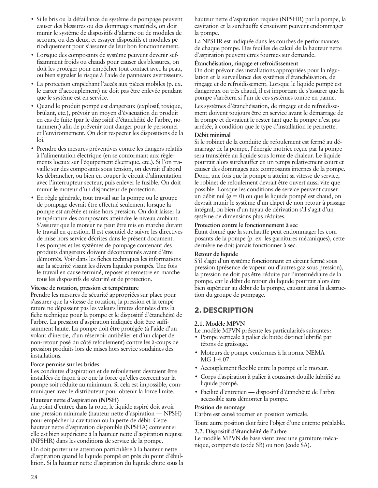- Si le bris ou la défaillance du système de pompage peuvent causer des blessures ou des dommages matériels, on doit munir le système de dispositifs d'alarme ou de modules de secours, ou des deux, et essayer dispositifs et modules périodiquement pour s'assurer de leur bon fonctionnement.
- Lorsque des composants de système peuvent devenir suffisamment froids ou chauds pour causer des blessures, on doit les protéger pour empêcher tout contact avec la peau, ou bien signaler le risque à l'aide de panneaux avertisseurs.
- La protection empêchant l'accès aux pièces mobiles (p. ex. le carter d'accouplement) ne doit pas être enlevée pendant que le système est en service.
- Quand le produit pompé est dangereux (explosif, toxique, brûlant, etc.), prévoir un moyen d'évacuation du produit en cas de fuite (par le dispositif d'étanchéité de l'arbre, notamment) afin de prévenir tout danger pour le personnel et l'environnement. On doit respecter les dispositions de la loi.
- Prendre des mesures préventives contre les dangers relatifs à l'alimentation électrique (en se conformant aux règlements locaux sur l'équipement électrique, etc.). Si l'on travaille sur des composants sous tension, on devrait d'abord les débrancher, ou bien en couper le circuit d'alimentation avec l'interrupteur secteur, puis enlever le fusible. On doit munir le moteur d'un disjoncteur de protection.
- En règle générale, tout travail sur la pompe ou le groupe de pompage devrait être effectué seulement lorsque la pompe est arrêtée et mise hors pression. On doit laisser la température des composants atteindre le niveau ambiant. S'assurer que le moteur ne peut être mis en marche durant le travail en question. Il est essentiel de suivre les directives de mise hors service décrites dans le présent document. Les pompes et les systèmes de pompage contenant des produits dangereux doivent décontaminés avant d'être démontés. Voir dans les fiches techniques les informations sur la sécurité visant les divers liquides pompés. Une fois le travail en cause terminé, reposer et remettre en marche tous les dispositifs de sécurité et de protection.

#### **Vitesse de rotation, pression et température**

Prendre les mesures de sécurité appropriées sur place pour s'assurer que la vitesse de rotation, la pression et la température ne dépassent pas les valeurs limites données dans la fiche technique pour la pompe et le dispositif d'étanchéité de l'arbre. La pression d'aspiration indiquée doit être suffisamment haute. La pompe doit être protégée (à l'aide d'un volant d'inertie, d'un réservoir antibélier et d'un clapet de non-retour posé du côté refoulement) contre les à-coups de pression produits lors de mises hors service soudaines des installations.

#### **Force permise sur les brides**

Les conduites d'aspiration et de refoulement devraient être installées de façon à ce que la force qu'elles exercent sur la pompe soit réduite au minimum. Si cela est impossible, communiquer avec le distributeur pour obtenir la force limite.

#### **Hauteur nette d'aspiration (NPSH)**

Au point d'entrée dans la roue, le liquide aspiré doit avoir une pression minimale (hauteur nette d'aspiration — NPSH) pour empêcher la cavitation ou la perte de débit. Cette hauteur nette d'aspiration disponible (NPSHA) convient si elle est bien supérieure à la hauteur nette d'aspiration requise (NPSHR) dans les conditions de service de la pompe.

On doit porter une attention particulière à la hauteur nette d'aspiration quand le liquide pompé est près du point d'ébullition. Si la hauteur nette d'aspiration du liquide chute sous la hauteur nette d'aspiration requise (NPSHR) par la pompe, la cavitation et la surchauffe s'ensuivant peuvent endommager la pompe.

La NPSHR est indiquée dans les courbes de performances de chaque pompe. Des feuilles de calcul de la hauteur nette d'aspiration peuvent êtres fournies sur demande.

#### **Étanchéisation, rinçage et refroidissement**

On doit prévoir des installations appropriées pour la régulation et la surveillance des systèmes d'étanchéisation, de rinçage et de refroidissement. Lorsque le liquide pompé est dangereux ou très chaud, il est important de s'assurer que la pompe s'arrêtera si l'un de ces systèmes tombe en panne.

Les systèmes d'étanchéisation, de rinçage et de refroidissement doivent toujours être en service avant le démarrage de la pompe et devraient le rester tant que la pompe n'est pas arrêtée, à condition que le type d'installation le permette.

#### **Débit minimal**

Si le robinet de la conduite de refoulement est fermé au démarrage de la pompe, l'énergie motrice reçue par la pompe sera transférée au liquide sous forme de chaleur. Le liquide pourrait alors surchauffer en un temps relativement court et causer des dommages aux composants internes de la pompe. Donc, une fois que la pompe a atteint sa vitesse de service, le robinet de refoulement devrait être ouvert aussi vite que possible. Lorsque les conditions de service peuvent causer un débit nul (*q* = 0) ou que le liquide pompé est chaud, on devrait munir le système d'un clapet de non-retour à passage intégral, ou bien d'un tuyau de dérivation s'il s'agit d'un système de dimensions plus réduites.

#### **Protection contre le fonctionnement à sec**

Étant donné que la surchauffe peut endommager les composants de la pompe (p. ex. les garnitures mécaniques), cette dernière ne doit jamais fonctionner à sec.

#### **Retour de liquide**

S'il s'agit d'un système fonctionnant en circuit fermé sous pression (présence de vapeur ou d'autres gaz sous pression), la pression ne doit pas être réduite par l'intermédiaire de la pompe, car le débit de retour du liquide pourrait alors être bien supérieur au débit de la pompe, causant ainsi la destruction du groupe de pompage.

# **2. DESCRIPTION**

#### **2.1. Modèle MPVN**

Le modèle MPVN présente les particularités suivantes: • Pompe verticale à palier de butée distinct lubrifié par

- tétons de graissage.
- Moteurs de pompe conformes à la norme NEMA MG 1-4.07.
- Accouplement flexible entre la pompe et le moteur.
- Corps d'aspiration à palier à coussinet-douille lubrifié au liquide pompé.
- Facilité d'entretien dispositif d'étanchéité de l'arbre accessible sans démonter la pompe.

#### **Position de montage**

L'arbre est censé tourner en position verticale.

Toute autre position doit faire l'objet d'une entente préalable.

#### **2.2. Dispositif d'étanchéité de l'arbre**

Le modèle MPVN de base vient avec une garniture mécanique, compensée (code SB) ou non (code SA).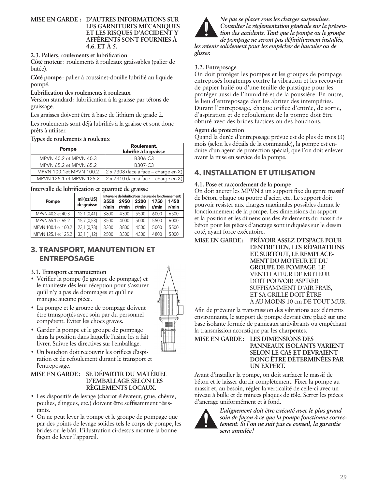#### **MISE EN GARDE : D'AUTRES INFORMATIONS SUR LES GARNITURES MÉCANIQUES ET LES RISQUES D'ACCIDENT Y AFFÉRENTS SONT FOURNIES À 4.6. ET À 5.**

#### **2.3. Paliers, roulements et lubrification**

**Côté moteur**: roulements à rouleaux graissables (palier de butée).

**Côté pompe**: palier à coussinet-douille lubrifié au liquide pompé.

#### **Lubrification des roulements à rouleaux**

Version standard: lubrification à la graisse par tétons de graissage.

Les graisses doivent être à base de lithium de grade 2.

Les roulements sont déjà lubrifiés à la graisse et sont donc prêts à utiliser.

#### **Types de roulements à rouleaux**

| <b>Pompe</b>             | Roulement,<br>lubrifié à la graisse                      |
|--------------------------|----------------------------------------------------------|
| MPVN 40.2 et MPVN 40.3   | B306-C3                                                  |
| MPVN 65.2 et MPVN 65.2   | B307-C3                                                  |
| MPVN 100.1et MPVN 100.2  | $ 2 \times 7308$ (face à face – charge en X)             |
| MPVN 125.1 et MPVN 125.2 | $\left 2 \times 7310\right $ (face à face – charge en X) |

**Intervalle de lubrification et quantité de graisse**

| Pompe               | ml (oz US)<br>de graisse | 3550<br>r/min | 2950<br>r/min | 2200<br>r/min | Intervalle de lubrification (heures de fonctionnement)<br>1750<br>r/min | 1450<br>r/min |
|---------------------|--------------------------|---------------|---------------|---------------|-------------------------------------------------------------------------|---------------|
| MPVN 40.2 et 40.3   | 12,1(0,41)               | 3800          | 4300          | 5500          | 6000                                                                    | 6500          |
| MPVN 65.1 et 65.2   | 15,7(0,53)               | 3500          | 4000          | 5000          | 5500                                                                    | 6000          |
| MPVN 100.1 et 100.2 | 23,1 (0,78)              | 3300          | 3800          | 4500          | 5000                                                                    | 5500          |
| MPVN 125.1 et 125.2 | 33,1(1,12)               | 2500          | 3300          | 4300          | 4800                                                                    | 5000          |

# **3. TRANSPORT, MANUTENTION ET ENTREPOSAGE**

#### **3.1. Transport et manutention**

- Vérifier la pompe (le groupe de pompage) et le manifeste dès leur réception pour s'assurer qu'il n'y a pas de dommages et qu'il ne manque aucune pièce.
- La pompe et le groupe de pompage doivent être transportés avec soin par du personnel compétent. Éviter les chocs graves.
- Garder la pompe et le groupe de pompage dans la position dans laquelle l'usine les a fait livrer. Suivre les directives sur l'emballage.
- Un bouchon doit recouvrir les orifices d'aspiration et de refoulement durant le transport et l'entreposage.

#### **MISE EN GARDE: SE DÉPARTIR DU MATÉRIEL D'EMBALLAGE SELON LES RÈGLEMENTS LOCAUX.**

- Les dispositifs de levage (chariot élévateur, grue, chèvre, poulies, élingues, etc.) doivent être suffisamment résistants.
- On ne peut lever la pompe et le groupe de pompage que par des points de levage solides tels le corps de pompe, les brides ou le bâti. L'illustration ci-dessus montre la bonne façon de lever l'appareil.



*Ne pas se placer sous les charges suspendues. Consulter la réglementation générale sur la prévention des accidents. Tant que la pompe ou le groupe de pompage ne seront pas définitivement installés,* 

*les retenir solidement pour les empêcher de basculer ou de glisser.*

## **3.2. Entreposage**

On doit protéger les pompes et les groupes de pompage entreposés longtemps contre la vibration et les recouvrir de papier huilé ou d'une feuille de plastique pour les protéger aussi de l'humidité et de la poussière. En outre, le lieu d'entreposage doit les abriter des intempéries. Durant l'entreposage, chaque orifice d'entrée, de sortie, d'aspiration et de refoulement de la pompe doit être obturé avec des brides factices ou des bouchons.

#### **Agent de protection**

Quand la durée d'entreposage prévue est de plus de trois (3) mois (selon les détails de la commande), la pompe est enduite d'un agent de protection spécial, que l'on doit enlever avant la mise en service de la pompe.

# **4. INSTALLATION ET UTILISATION**

## **4.1. Pose et raccordement de la pompe**

On doit ancrer les MPVN à un support fixe du genre massif de béton, plaque ou poutre d'acier, etc. Le support doit pouvoir résister aux charges maximales possibles durant le fonctionnement de la pompe. Les dimensions du support et la position et les dimensions des évidements du massif de béton pour les pièces d'ancrage sont indiquées sur le dessin coté, ayant force exécutoire.



Afin de prévenir la transmission des vibrations aux éléments environnants, le support de pompe devrait être placé sur une base isolante formée de panneaux antivibrants ou empêchant la transmission acoustique par les charpentes.

#### **MISE EN GARDE: LES DIMENSIONS DES PANNEAUX ISOLANTS VARIENT SELON LE CAS ET DEVRAIENT DONC ÊTRE DÉTERMINÉES PAR UN EXPERT.**

Avant d'installer la pompe, on doit surfacer le massif de béton et le laisser durcir complètement. Fixer la pompe au massif et, au besoin, régler la verticalité de celle-ci avec un niveau à bulle et de minces plaques de tôle. Serrer les pièces d'ancrage uniformément et à fond.



*L'alignement doit être exécuté avec le plus grand soin de façon à ce que la pompe fonctionne correctement. Si l'on ne suit pas ce conseil, la garantie sera annulée!*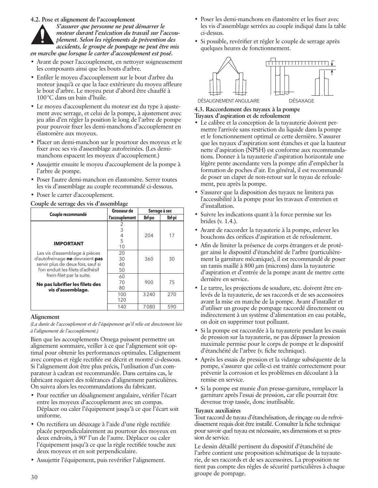**4.2. Pose et alignement de l'accouplement**

*S'assurer que personne ne peut démarrer le moteur durant l'exécution du travail sur l'accouplement. Selon les règlements de prévention des accidents, le groupe de pompage ne peut être mis en marche que lorsque le carter d'accouplement est posé.*

- Avant de poser l'accouplement, en nettoyer soigneusement les composants ainsi que les bouts d'arbre.
- Enfiler le moyeu d'accouplement sur le bout d'arbre du moteur jusqu'à ce que la face extérieure du moyeu affleure le bout d'arbre. Le moyeu peut d'abord être chauffé à 100°C dans un bain d'huile.
- Le moyeu d'accouplement du moteur est du type à ajustement avec serrage, et celui de la pompe, à ajustement avec jeu afin d'en régler la position le long de l'arbre de pompe pour pouvoir fixer les demi-manchons d'accouplement en élastomère aux moyeux.
- Placer un demi-manchon sur le pourtour des moyeux et le fixer avec ses vis d'assemblage autofreinées. (Les demimanchons espacent les moyeux d'accouplement.)
- Assujettir ensuite le moyeu d'accouplement de la pompe à l'arbre de pompe.
- Poser l'autre demi-manchon en élastomère. Serrer toutes les vis d'assemblage au couple recommandé ci-dessous.
- Poser le carter d'accouplement.

**Couple de serrage des vis d'assemblage**

|                                   | Grosseur de    | Serrage à sec |        |
|-----------------------------------|----------------|---------------|--------|
| Couple recommandé                 | l'accouplement | lbf.po        | lbf·pi |
|                                   | 2              |               |        |
|                                   | 3              |               |        |
|                                   | 4              | 204           | 17     |
| <b>IMPORTANT</b>                  | 5              |               |        |
|                                   | 10             |               |        |
| Les vis d'assemblage à pièces     | 20             |               |        |
| d'autofreinage ne devraient pas   | 30             | 360           | 30     |
| servir plus de deux fois, sauf si | 40             |               |        |
| l'on enduit les filets d'adhésif  | 50             |               |        |
| frein-filet par la suite.         | 60             |               |        |
| Ne pas lubrifier les filets des   | 70             | 900           | 75     |
| vis d'assemblage.                 | 80             |               |        |
|                                   | 100            | 3240          | 270    |
|                                   | 120            |               |        |
|                                   | 140            | 7080          | 590    |

#### **Alignement**

*(La durée de l'accouplement et de l'équipement qu'il relie est directement liée à l'alignement de l'accouplement.)*

Bien que les accouplements Omega puissent permettre un alignement sommaire, veiller à ce que l'alignement soit optimal pour obtenir les performances optimales. L'alignement avec compas et règle rectifiée est décrit et montré ci-dessous. Si l'alignement doit être plus précis, l'utilisation d'un comparateur à cadran est recommandée. Dans certains cas, le fabricant requiert des tolérances d'alignement particulières. On suivra alors les recommandations du fabricant.

- Pour rectifier un désalignement angulaire, vérifier l'écart entre les moyeux d'accouplement avec un compas. Déplacer ou caler l'équipement jusqu'à ce que l'écart soit uniforme.
- On rectifiera un désaxage à l'aide d'une règle rectifiée placée perpendiculairement au pourtour des moyeux en deux endroits, à 90° l'un de l'autre. Déplacer ou caler l'équipement jusqu'à ce que la règle rectifiée touche aux deux moyeux et en soit perpendiculaire.
- Assujettir l'équipement, puis revérifier l'alignement.
- Poser les demi-manchons en élastomère et les fixer avec les vis d'assemblage serrées au couple indiqué dans la table ci-dessus.
- Si possible, revérifier et régler le couple de serrage après quelques heures de fonctionnement.



# **4.3. Raccordement des tuyaux à la pompe Tuyaux d'aspiration et de refoulement**

- Le calibre et la conception de la tuyauterie doivent permettre l'arrivée sans restriction du liquide dans la pompe et le fonctionnement optimal ce cette dernière. S'assurer que les tuyaux d'aspiration sont étanches et que la hauteur nette d'aspiration (NPSH) est conforme aux recommandations. Donner à la tuyauterie d'aspiration horizontale une légère pente ascendante vers la pompe afin d'empêcher la formation de poches d'air. En général, il est recommandé de poser un clapet de non-retour sur le tuyau de refoulement, peu après la pompe.
- S'assurer que la disposition des tuyaux ne limitera pas l'accessibilité à la pompe pour les travaux d'entretien et d'installation.
- Suivre les indications quant à la force permise sur les brides (v. 1.4.).
- Avant de raccorder la tuyauterie à la pompe, enlever les bouchons des orifices d'aspiration et de refoulement.
- Afin de limiter la présence de corps étrangers et de protéger ainsi le dispositif d'étanchéité de l'arbre (particulièrement la garniture mécanique), il est recommandé de poser un tamis maillé à 800 μm (microns) dans la tuyauterie d'aspiration et d'entrée de la pompe avant de mettre cette dernière en service.
- Le tartre, les projections de soudure, etc. doivent être enlevés de la tuyauterie, de ses raccords et de ses accessoires avant la mise en marche de la pompe. Avant d'installer et d'utiliser un groupe de pompage raccordé directement ou indirectement à un système d'alimentation en eau potable, on doit en supprimer tout polluant.
- Si la pompe est raccordée à la tuyauterie pendant les essais de pression sur la tuyauterie, ne pas dépasser la pression maximale permise pour le corps de pompe et le dispositif d'étanchéité de l'arbre (v. fiche technique).
- Après les essais de pression et la vidange subséquente de la pompe, s'assurer que celle-ci est traitée correctement pour prévenir la corrosion et les problèmes en découlant à la remise en service.
- Si la pompe est munie d'un presse-garniture, remplacer la garniture après l'essai de pression, car elle pourrait être devenue trop tassée, donc inutilisable.

#### **Tuyaux auxiliaires**

Tout raccord de tuyau d'étanchéisation, de rinçage ou de refroidissement requis doit être installé. Consulter la fiche technique pour savoir quel tuyau est nécessaire, ses dimensions et sa pression de service.

Le dessin détaillé pertinent du dispositif d'étanchéité de l'arbre contient une proposition schématique de la tuyauterie, de ses raccords et de ses accessoires. La proposition ne tient pas compte des règles de sécurité particulières à chaque groupe de pompage.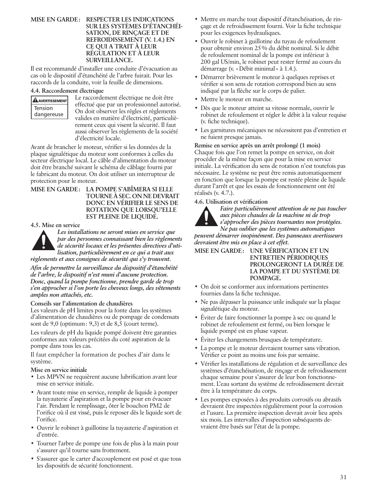#### **MISE EN GARDE: RESPECTER LES INDICATIONS SUR LES SYSTÈMES D'ÉTANCHÉI-SATION, DE RINÇAGE ET DE REFROIDISSEMENT (V. 1.4.) EN CE QUI A TRAIT À LEUR RÉGULATION ET À LEUR SURVEILLANCE.**

Il est recommandé d'installer une conduite d'évacuation au cas où le dispositif d'étanchéité de l'arbre fuirait. Pour les raccords de la conduite, voir la feuille de dimensions.

#### **4.4. Raccordement électrique**

| <b>ALAVERTISSEMENT</b> |
|------------------------|
| <b>Tension</b>         |
| dangereuse             |

Le raccordement électrique ne doit être effectué que par un professionnel autorisé. On doit observer les règles et règlements valides en matière d'électricité, particulièrement ceux qui visent la sécurité. Il faut aussi observer les règlements de la société d'électricité locale.

Avant de brancher le moteur, vérifier si les données de la plaque signalétique du moteur sont conformes à celles du secteur électrique local. Le câble d'alimentation du moteur doit être branché suivant le schéma de câblage fourni par le fabricant du moteur. On doit utiliser un interrupteur de protection pour le moteur.

**MISE EN GARDE: LA POMPE S'ABÎMERA SI ELLE TOURNE À SEC. ON NE DEVRAIT DONC EN VÉRIFIER LE SENS DE ROTATION QUE LORSQU'ELLE EST PLEINE DE LIQUIDE.**

#### **4.5. Mise en service**



*Les installations ne seront mises en service que par des personnes connaissant bien les règlements de sécurité locaux et les présentes directives d'utilisation, particulièrement en ce qui a trait aux règlements et aux consignes de sécurité qui s'y trouvent.*

*Afin de permettre la surveillance du dispositif d'étanchéité de l'arbre, le dispositif n'est muni d'aucune protection. Donc, quand la pompe fonctionne, prendre garde de trop s'en approcher si l'on porte les cheveux longs, des vêtements amples non attachés, etc.*

#### **Conseils sur l'alimentation de chaudières**

Les valeurs de pH limites pour la fonte dans les systèmes d'alimentation de chaudières ou de pompage de condensats sont de 9,0 (optimum: 9,3) et de 8,5 (court terme).

Les valeurs de pH du liquide pompé doivent être garanties conformes aux valeurs précitées du coté aspiration de la pompe dans tous les cas.

Il faut empêcher la formation de poches d'air dans le système.

#### **Mise en service initiale**

- Les MPVN ne requièrent aucune lubrification avant leur mise en service initiale.
- Avant toute mise en service, remplir de liquide à pomper la tuyauterie d'aspiration et la pompe pour en évacuer l'air. Pendant le remplissage, ôter le bouchon PM2 de l'orifice où il est vissé, puis le reposer dès le liquide sort de l'orifice.
- Ouvrir le robinet à guillotine la tuyauterie d'aspiration et d'entrée.
- Tourner l'arbre de pompe une fois de plus à la main pour s'assurer qu'il tourne sans frottement.
- S'assurer que le carter d'accouplement est posé et que tous les dispositifs de sécurité fonctionnent.
- Mettre en marche tout dispositif d'étanchéisation, de rinçage et de refroidissement fourni. Voir la fiche technique pour les exigences hydrauliques.
- Ouvrir le robinet à guillotine du tuyau de refoulement pour obtenir environ 25% du débit nominal. Si le débit de refoulement nominal de la pompe est inférieur à 200 gal US/min, le robinet peut rester fermé au cours du démarrage (v. «Débit minimal» à 1.4.).
- Démarrer brièvement le moteur à quelques reprises et vérifier si son sens de rotation correspond bien au sens indiqué par la flèche sur le corps de palier.
- Mettre le moteur en marche.
- Dès que le moteur atteint sa vitesse normale, ouvrir le robinet de refoulement et régler le débit à la valeur requise (v. fiche technique).
- Les garnitures mécaniques ne nécessitent pas d'entretien et ne fuient presque jamais.

#### **Remise en service après un arrêt prolongé (1 mois)** Chaque fois que l'on remet la pompe en service, on doit procéder de la même façon que pour la mise en service initiale. La vérification du sens de rotation n'est toutefois pas nécessaire. Le système ne peut être remis automatiquement en fonction que lorsque la pompe est restée pleine de liquide durant l'arrêt et que les essais de fonctionnement ont été réalisés (v. 4.7.).

#### **4.6. Utilisation et vérification**



*Faire particulièrement attention de ne pas toucher aux pièces chaudes de la machine ni de trop s'approcher des pièces tournantes non protégées.* 

*Ne pas oublier que les systèmes automatiques peuvent démarrer inopinément. Des panneaux avertisseurs devraient être mis en place à cet effet.*

**MISE EN GARDE: UNE VÉRIFICATION ET UN ENTRETIEN PÉRIODIQUES PROLONGERONT LA DURÉE DE LA POMPE ET DU SYSTÈME DE POMPAGE.**

- On doit se conformer aux informations pertinentes fournies dans la fiche technique.
- Ne pas dépasser la puissance utile indiquée sur la plaque signalétique du moteur.
- Éviter de faire fonctionner la pompe à sec ou quand le robinet de refoulement est fermé, ou bien lorsque le liquide pompé est en phase vapeur.
- Éviter les changements brusques de température.
- La pompe et le moteur devraient tourner sans vibration. Vérifier ce point au moins une fois par semaine.
- Vérifier les installations de régulation et de surveillance des systèmes d'étanchéisation, de rinçage et de refroidissement chaque semaine pour s'assurer de leur bon fonctionnement. L'eau sortant du système de refroidissement devrait être à la température du corps.
- Les pompes exposées à des produits corrosifs ou abrasifs devraient être inspectées régulièrement pour la corrosion et l'usure. La première inspection devrait avoir lieu après six mois. Les intervalles d'inspection subséquents devraient être basés sur l'état de la pompe.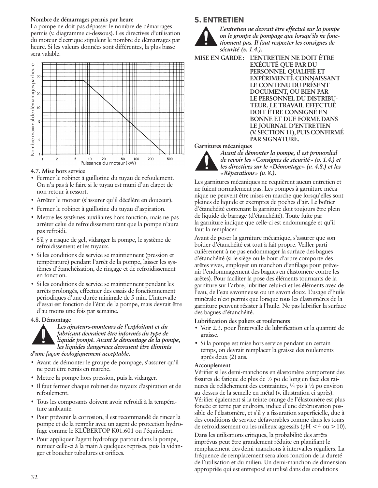#### **Nombre de démarrages permis par heure**

La pompe ne doit pas dépasser le nombre de démarrages permis (v. diagramme ci-dessous). Les directives d'utilisation du moteur électrique stipulent le nombre de démarrages par heure. Si les valeurs données sont différentes, la plus basse sera valable.



**4.7. Mise hors service**

- Fermer le robinet à guillotine du tuyau de refoulement. On n'a pas à le faire si le tuyau est muni d'un clapet de non-retour à ressort.
- Arrêter le moteur (s'assurer qu'il décélère en douceur).
- Fermer le robinet à guillotine du tuyau d'aspiration.
- Mettre les systèmes auxiliaires hors fonction, mais ne pas arrêter celui de refroidissement tant que la pompe n'aura pas refroidi.
- S'il y a risque de gel, vidanger la pompe, le système de refroidissement et les tuyaux.
- Si les conditions de service se maintiennent (pression et température) pendant l'arrêt de la pompe, laisser les systèmes d'étanchéisation, de rinçage et de refroidissement en fonction.
- Si les conditions de service se maintiennent pendant les arrêts prolongés, effectuer des essais de fonctionnement périodiques d'une durée minimale de 5 min. L'intervalle d'essai est fonction de l'état de la pompe, mais devrait être d'au moins une fois par semaine.

#### **4.8. Démontage**



*Les ajusteurs-monteurs de l'exploitant et du fabricant devraient être informés du type de liquide pompé. Avant le démontage de la pompe, les liquides dangereux devraient être éliminés d'une façon écologiquement acceptable.*

- Avant de démonter le groupe de pompage, s'assurer qu'il ne peut être remis en marche.
- Mettre la pompe hors pression, puis la vidanger.
- Il faut fermer chaque robinet des tuyaux d'aspiration et de refoulement.
- Tous les composants doivent avoir refroidi à la température ambiante.
- Pour prévenir la corrosion, il est recommandé de rincer la pompe et de la remplir avec un agent de protection hydrofuge comme le KLÜBERTOP K01.601 ou l'équivalent.
- Pour appliquer l'agent hydrofuge partout dans la pompe, remuer celle-ci à la main à quelques reprises, puis la vidanger et boucher tubulures et orifices.

# **5. ENTRETIEN**



*L'entretien ne devrait être effectué sur la pompe ou le groupe de pompage que lorsqu'ils ne fonctionnent pas. Il faut respecter les consignes de sécurité (v. 1.4.).*

- **MISE EN GARDE: L'ENTRETIEN NE DOIT ÊTRE** 
	- **EXÉCUTÉ QUE PAR DU PERSONNEL QUALIFIÉ ET EXPÉRIMENTÉ CONNAISSANT LE CONTENU DU PRÉSENT DOCUMENT, OU BIEN PAR LE PERSONNEL DU DISTRIBU-TEUR. LE TRAVAIL EFFECTUÉ DOIT ÊTRE CONSIGNÉ EN BONNE ET DUE FORME DANS LE JOURNAL D'ENTRETIEN (V. SECTION 11), PUIS CONFIRMÉ PAR SIGNATURE.**

**Garnitures mécaniques**



*Avant de démonter la pompe, il est primordial de revoir les «Consignes de sécurité» (v. 1.4.) et les directives sur le «Démontage» (v. 4.8.) et les «Réparations» (v. 8.).*

Les garnitures mécaniques ne requièrent aucun entretien et ne fuient normalement pas. Les pompes à garniture mécanique ne peuvent être mises en marche que lorsqu'elles sont pleines de liquide et exemptes de poches d'air. Le boîtier d'étanchéité contenant la garniture doit toujours être plein de liquide de barrage (d'étanchéité). Toute fuite par la garniture indique que celle-ci est endommagée et qu'il faut la remplacer.

Avant de poser la garniture mécanique, s'assurer que son boîtier d'étanchéité est tout à fait propre. Veiller particulièrement à ne pas endommager la surface des bagues d'étanchéité (si le siège ou le bout d'arbre comporte des arêtes vives, employer un manchon d'enfilage pour prévenir l'endommagement des bagues en élastomère contre les arêtes). Pour faciliter la pose des éléments tournants de la garniture sur l'arbre, lubrifier celui-ci et les éléments avec de l'eau, de l'eau savonneuse ou un savon doux. L'usage d'huile minérale n'est permis que lorsque tous les élastomères de la garniture peuvent résister à l'huile. Ne pas lubrifier la surface des bagues d'étanchéité.

#### **Lubrification des paliers et roulements**

- Voir 2.3. pour l'intervalle de lubrification et la quantité de graisse.
- Si la pompe est mise hors service pendant un certain temps, on devrait remplacer la graisse des roulements après deux (2) ans.

#### **Accouplement**

Vérifier si les demi-manchons en élastomère comportent des fissures de fatique de plus de ½ po de long en face des rainures de relâchement des contraintes, ¼ po à ½ po environ au-dessus de la semelle en métal (v. illustration ci-après). Vérifier également si la teinte orange de l'élastomère est plus foncée et terne par endroits, indice d'une détérioration possible de l'élastomère, et s'il y a fissuration superficielle, due à des conditions de service défavorables comme dans les tours de refroidissement ou les milieux agressifs ( $pH < 4$  ou  $> 10$ ).

Dans les utilisations critiques, la probabilité des arrêts imprévus peut être grandement réduite en planifiant le remplacement des demi-manchons à intervalles réguliers. La fréquence de remplacement sera alors fonction de la dureté de l'utilisation et du milieu. Un demi-manchon de dimension appropriée qui est entreposé et utilisé dans des conditions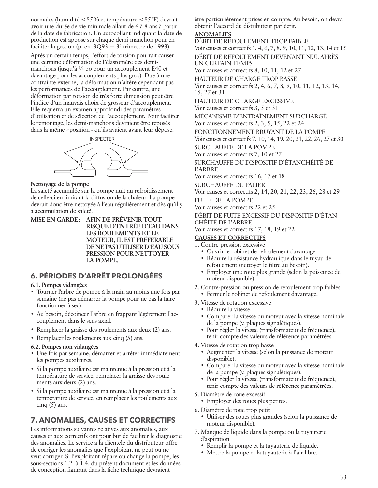normales (humidité <85% et température <85°F) devrait avoir une durée de vie minimale allant de 6 à 8 ans à partir de la date de fabrication. Un autocollant indiquant la date de production est apposé sur chaque demi-manchon pour en faciliter la gestion (p. ex.  $3Q93 = 3^e$  trimestre de 1993).

Après un certain temps, l'effort de torsion pourrait causer une certaine déformation de l'élastomère des demimanchons (jusqu'à ¼ po pour un accouplement E40 et davantage pour les accouplements plus gros). Due à une contrainte externe, la déformation n'altère cependant pas les performances de l'accouplement. Par contre, une déformation par torsion de très forte dimension peut être l'indice d'un mauvais choix de grosseur d'accouplement. Elle requerra un examen approfondi des paramètres d'utilisation et de sélection de l'accouplement. Pour faciliter le remontage, les demi-manchons devraient être reposés dans la même «position» qu'ils avaient avant leur dépose.



#### **Nettoyage de la pompe**

La saleté accumulée sur la pompe nuit au refroidissement de celle-ci en limitant la diffusion de la chaleur. La pompe devrait donc être nettoyée à l'eau régulièrement et dès qu'il y a accumulation de saleté.

**MISE EN GARDE: AFIN DE PRÉVENIR TOUT RISQUE D'ENTRÉE D'EAU DANS LES ROULEMENTS ET LE MOTEUR, IL EST PRÉFÉRABLE DE NE PAS UTILISER D'EAU SOUS PRESSION POUR NETTOYER LA POMPE.**

# **6. PÉRIODES D'ARRÊT PROLONGÉES**

#### **6.1. Pompes vidangées**

- Tourner l'arbre de pompe à la main au moins une fois par semaine (ne pas démarrer la pompe pour ne pas la faire fonctionner à sec).
- Au besoin, décoincer l'arbre en frappant légèrement l'accouplement dans le sens axial.
- Remplacer la graisse des roulements aux deux (2) ans.
- Remplacer les roulements aux cinq (5) ans.

#### **6.2. Pompes non vidangées**

- Une fois par semaine, démarrer et arrêter immédiatement les pompes auxiliaires.
- Si la pompe auxiliaire est maintenue à la pression et à la température de service, remplacer la graisse des roulements aux deux (2) ans.
- Si la pompe auxiliaire est maintenue à la pression et à la température de service, en remplacer les roulements aux cinq  $(5)$  ans.

# **7. ANOMALIES, CAUSES ET CORRECTIFS**

Les informations suivantes relatives aux anomalies, aux causes et aux correctifs ont pour but de faciliter le diagnostic des anomalies. Le service à la clientèle du distributeur offre de corriger les anomalies que l'exploitant ne peut ou ne veut corriger. Si l'exploitant répare ou change la pompe, les sous-sections 1.2. à 1.4. du présent document et les données de conception figurant dans la fiche technique devraient

être particulièrement prises en compte. Au besoin, on devra obtenir l'accord du distributeur par écrit.

#### **ANOMALIES**

DÉBIT DE REFOULEMENT TROP FAIBLE Voir causes et correctifs 1, 4, 6, 7, 8, 9, 10, 11, 12, 13, 14 et 15 DÉBIT DE REFOULEMENT DEVENANT NUL APRÈS UN CERTAIN TEMPS Voir causes et correctifs 8, 10, 11, 12 et 27 HAUTEUR DE CHARGE TROP BASSE Voir causes et correctifs 2, 4, 6, 7, 8, 9, 10, 11, 12, 13, 14, 15, 27 et 31 HAUTEUR DE CHARGE EXCESSIVE Voir causes et correctifs 3, 5 et 31 MÉCANISME D'ENTRAÎNEMENT SURCHARGÉ Voir causes et correctifs 2, 3, 5, 15, 22 et 24 FONCTIONNEMENT BRUYANT DE LA POMPE Voir causes et correctifs 7, 10, 14, 19, 20, 21, 22, 26, 27 et 30 SURCHAUFFE DE LA POMPE Voir causes et correctifs 7, 10 et 27 SURCHAUFFE DU DISPOSITIF D'ÉTANCHÉITÉ DE L'ARBRE Voir causes et correctifs 16, 17 et 18 SURCHAUFFE DU PALIER Voir causes et correctifs 2, 14, 20, 21, 22, 23, 26, 28 et 29 FUITE DE LA POMPE

Voir causes et correctifs 22 et 25

DÉBIT DE FUITE EXCESSIF DU DISPOSITIF D'ÉTAN-CHÉITÉ DE L'ARBRE

Voir causes et correctifs 17, 18, 19 et 22

#### **CAUSES ET CORRECTIFS**

- 1. Contre-pression excessive
	- Ouvrir le robinet de refoulement davantage.
	- Réduire la résistance hydraulique dans le tuyau de refoulement (nettoyer le filtre au besoin).
	- Employer une roue plus grande (selon la puissance de moteur disponible).
- 2. Contre-pression ou pression de refoulement trop faibles • Fermer le robinet de refoulement davantage.
- 3. Vitesse de rotation excessive
	- Réduire la vitesse.
	- Comparer la vitesse du moteur avec la vitesse nominale de la pompe (v. plaques signalétiques).
	- Pour régler la vitesse (transformateur de fréquence), tenir compte des valeurs de référence paramétrées.
- 4. Vitesse de rotation trop basse
	- Augmenter la vitesse (selon la puissance de moteur disponible).
	- Comparer la vitesse du moteur avec la vitesse nominale de la pompe (v. plaques signalétiques).
	- Pour régler la vitesse (transformateur de fréquence), tenir compte des valeurs de référence paramétrées.
- 5. Diamètre de roue excessif
	- Employer des roues plus petites.
- 6. Diamètre de roue trop petit
	- Utiliser des roues plus grandes (selon la puissance de moteur disponible).
- 7. Manque de liquide dans la pompe ou la tuyauterie d'aspiration
	- Remplir la pompe et la tuyauterie de liquide.
	- Mettre la pompe et la tuyauterie à l'air libre.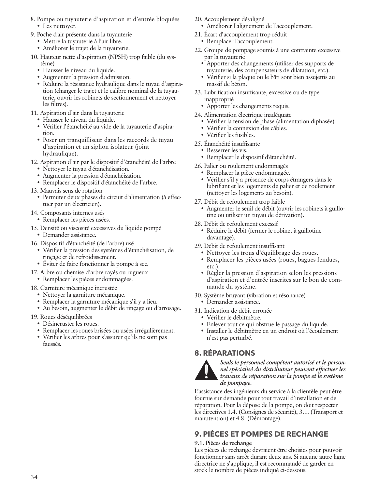- 8. Pompe ou tuyauterie d'aspiration et d'entrée bloquées • Les nettoyer.
- 9. Poche d'air présente dans la tuyauterie
	- Mettre la tuyauterie à l'air libre.
	- Améliorer le trajet de la tuyauterie.
- 10. Hauteur nette d'aspiration (NPSH) trop faible (du système)
	- Hausser le niveau du liquide.
	- Augmenter la pression d'admission.
	- Réduire la résistance hydraulique dans le tuyau d'aspiration (changer le trajet et le calibre nominal de la tuyauterie, ouvrir les robinets de sectionnement et nettoyer les filtres).
- 11. Aspiration d'air dans la tuyauterie
	- Hausser le niveau du liquide.
	- Vérifier l'étanchéité au vide de la tuyauterie d'aspiration.
	- Poser un tranquilliseur dans les raccords de tuyau d'aspiration et un siphon isolateur (joint hydraulique).

12. Aspiration d'air par le dispositif d'étanchéité de l'arbre

- Nettoyer le tuyau d'étanchéisation.
- Augmenter la pression d'étanchéisation.
- Remplacer le dispositif d'étanchéité de l'arbre.
- 13. Mauvais sens de rotation
	- Permuter deux phases du circuit d'alimentation (à effectuer par un électricien).
- 14. Composants internes usés
- Remplacer les pièces usées.
- 15. Densité ou viscosité excessives du liquide pompé
	- Demander assistance.
- 16. Dispositif d'étanchéité (de l'arbre) usé
	- Vérifier la pression des systèmes d'étanchéisation, de rinçage et de refroidissement.
	- Éviter de faire fonctionner la pompe à sec.
- 17. Arbre ou chemise d'arbre rayés ou rugueux
	- Remplacer les pièces endommagées.

#### 18. Garniture mécanique incrustée

- Nettoyer la garniture mécanique.
- Remplacer la garniture mécanique s'il y a lieu.
- Au besoin, augmenter le débit de rinçage ou d'arrosage.
- 19. Roues déséquilibrées
	- Désincruster les roues.
	- Remplacer les roues brisées ou usées irrégulièrement.
	- Vérifier les arbres pour s'assurer qu'ils ne sont pas faussés.
- 20. Accouplement désaligné
	- Améliorer l'alignement de l'accouplement.
- 21. Écart d'accouplement trop réduit
	- Remplacer l'accouplement.
- 22. Groupe de pompage soumis à une contrainte excessive par la tuyauterie
	- Apporter des changements (utiliser des supports de tuyauterie, des compensateurs de dilatation, etc.).
	- Vérifier si la plaque ou le bâti sont bien assujettis au massif de béton.
- 23. Lubrification insuffisante, excessive ou de type inapproprié
	- Apporter les changements requis.
- 24. Alimentation électrique inadéquate
	- Vérifier la tension de phase (alimentation diphasée).
	- Vérifier la connexion des câbles.
	- Vérifier les fusibles.
- 25. Étanchéité insuffisante
	- Resserrer les vis.
	- Remplacer le dispositif d'étanchéité.
- 26. Palier ou roulement endommagés
	- Remplacer la pièce endommagée.
	- Vérifier s'il y a présence de corps étrangers dans le lubrifiant et les logements de palier et de roulement (nettoyer les logements au besoin).
- 27. Débit de refoulement trop faible
	- Augmenter le seuil de débit (ouvrir les robinets à guillotine ou utiliser un tuyau de dérivation).
- 28. Débit de refoulement excessif
	- Réduire le débit (fermer le robinet à guillotine davantage).
- 29. Débit de refoulement insuffisant
	- Nettoyer les trous d'équilibrage des roues.
	- Remplacer les pièces usées (roues, bagues fendues, etc.).
	- Régler la pression d'aspiration selon les pressions d'aspiration et d'entrée inscrites sur le bon de commande du système.
- 30. Système bruyant (vibration et résonance)
- Demander assistance.
- 31. Indication de débit erronée
	- Vérifier le débitmètre.
	- Enlever tout ce qui obstrue le passage du liquide.
	- Installer le débitmètre en un endroit où l'écoulement n'est pas perturbé.

# **8. RÉPARATIONS**



*Seuls le personnel compétent autorisé et le personnel spécialisé du distributeur peuvent effectuer les travaux de réparation sur la pompe et le système de pompage.*

L'assistance des ingénieurs du service à la clientèle peut être fournie sur demande pour tout travail d'installation et de réparation. Pour la dépose de la pompe, on doit respecter les directives 1.4. (Consignes de sécurité), 3.1. (Transport et manutention) et 4.8. (Démontage).

# **9. PIÈCES ET POMPES DE RECHANGE**

#### **9.1. Pièces de rechange**

Les pièces de rechange devraient être choisies pour pouvoir fonctionner sans arrêt durant deux ans. Si aucune autre ligne directrice ne s'applique, il est recommandé de garder en stock le nombre de pièces indiqué ci-dessous.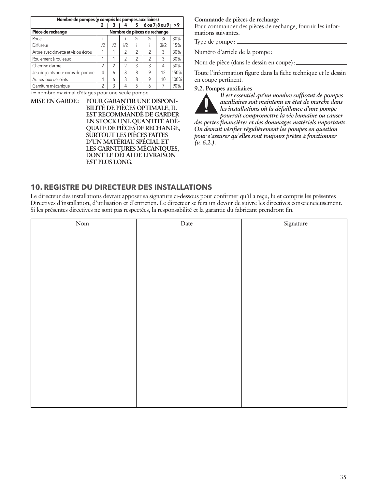| Nombre de pompes (y compris les pompes auxiliaires) |                              |                |                |                |                |               |      |  |  |
|-----------------------------------------------------|------------------------------|----------------|----------------|----------------|----------------|---------------|------|--|--|
|                                                     | 2                            | з              | 4              | 5              |                | 6 ou 7 8 ou 9 | >9   |  |  |
| Pièce de rechange                                   | Nombre de pièces de rechange |                |                |                |                |               |      |  |  |
| Roue                                                |                              |                |                | 2i             | 2i             | 3i            | 30%  |  |  |
| Diffuseur                                           | i/2                          | i/2            | i/2            |                |                | 3i/2          | 15%  |  |  |
| Arbre avec clavette et vis ou écrou                 |                              |                | $\mathfrak{D}$ | $\mathfrak{D}$ | $\mathfrak{D}$ | 3             | 30%  |  |  |
| Roulement à rouleaux                                |                              |                | $\overline{2}$ | $\mathfrak{D}$ | $\mathfrak{D}$ | 3             | 30%  |  |  |
| Chemise d'arbre                                     | $\mathfrak{D}$               | $\mathfrak{D}$ | $\mathfrak{D}$ | 3              | 3              | 4             | 50%  |  |  |
| Jeu de joints pour corps de pompe                   | 4                            | 6              | 8              | 8              | 9              | 12            | 150% |  |  |
| Autres jeux de joints                               | 4                            | 6              | 8              | 8              | 9              | 10            | 100% |  |  |
| Garniture mécanique                                 | 2                            | 3              | 4              | 5              | 6              |               | 90%  |  |  |

i = nombre maximal d'étages pour une seule pompe

**MISE EN GARDE: POUR GARANTIR UNE DISPONI-BILITÉ DE PIÈCES OPTIMALE, IL EST RECOMMANDÉ DE GARDER EN STOCK UNE QUANTITÉ ADÉ-QUATE DE PIÈCES DE RECHANGE, SURTOUT LES PIÈCES FAITES D'UN MATÉRIAU SPÉCIAL ET LES GARNITURES MÉCANIQUES, DONT LE DÉLAI DE LIVRAISON EST PLUS LONG.**

#### **Commande de pièces de rechange**

Pour commander des pièces de rechange, fournir les informations suivantes.

Type de pompe:

Numéro d'article de la pompe:

Nom de pièce (dans le dessin en coupe):

Toute l'information figure dans la fiche technique et le dessin en coupe pertinent.

#### **9.2. Pompes auxiliaires**



*Il est essentiel qu'un nombre suffisant de pompes auxiliaires soit maintenu en état de marche dans les installations où la défaillance d'une pompe* 

*pourrait compromettre la vie humaine ou causer des pertes financières et des dommages matériels importants. On devrait vérifier régulièrement les pompes en question pour s'assurer qu'elles sont toujours prêtes à fonctionner (v. 6.2.).*

# **10. REGISTRE DU DIRECTEUR DES INSTALLATIONS**

Le directeur des installations devrait apposer sa signature ci-dessous pour confirmer qu'il a reçu, lu et compris les présentes Directives d'installation, d'utilisation et d'entretien. Le directeur se fera un devoir de suivre les directives consciencieusement. Si les présentes directives ne sont pas respectées, la responsabilité et la garantie du fabricant prendront fin.

| Nom | Date | Signature |
|-----|------|-----------|
|     |      |           |
|     |      |           |
|     |      |           |
|     |      |           |
|     |      |           |
|     |      |           |
|     |      |           |
|     |      |           |
|     |      |           |
|     |      |           |
|     |      |           |
|     |      |           |
|     |      |           |
|     |      |           |
|     |      |           |
|     |      |           |
|     |      |           |
|     |      |           |
|     |      |           |
|     |      |           |
|     |      |           |